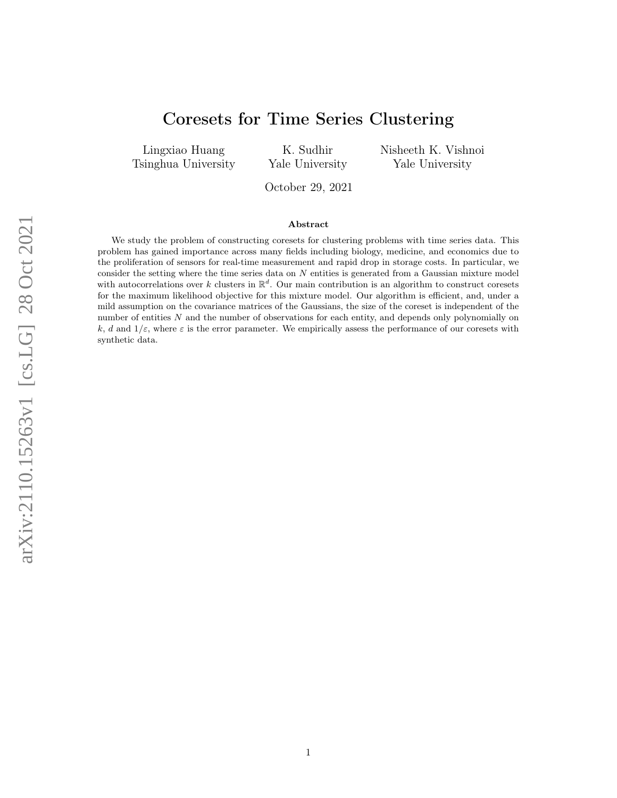# Coresets for Time Series Clustering

Lingxiao Huang Tsinghua University

K. Sudhir Yale University Nisheeth K. Vishnoi Yale University

October 29, 2021

#### Abstract

We study the problem of constructing coresets for clustering problems with time series data. This problem has gained importance across many fields including biology, medicine, and economics due to the proliferation of sensors for real-time measurement and rapid drop in storage costs. In particular, we consider the setting where the time series data on N entities is generated from a Gaussian mixture model with autocorrelations over k clusters in  $\mathbb{R}^d$ . Our main contribution is an algorithm to construct coresets for the maximum likelihood objective for this mixture model. Our algorithm is efficient, and, under a mild assumption on the covariance matrices of the Gaussians, the size of the coreset is independent of the number of entities N and the number of observations for each entity, and depends only polynomially on k, d and  $1/\varepsilon$ , where  $\varepsilon$  is the error parameter. We empirically assess the performance of our coresets with synthetic data.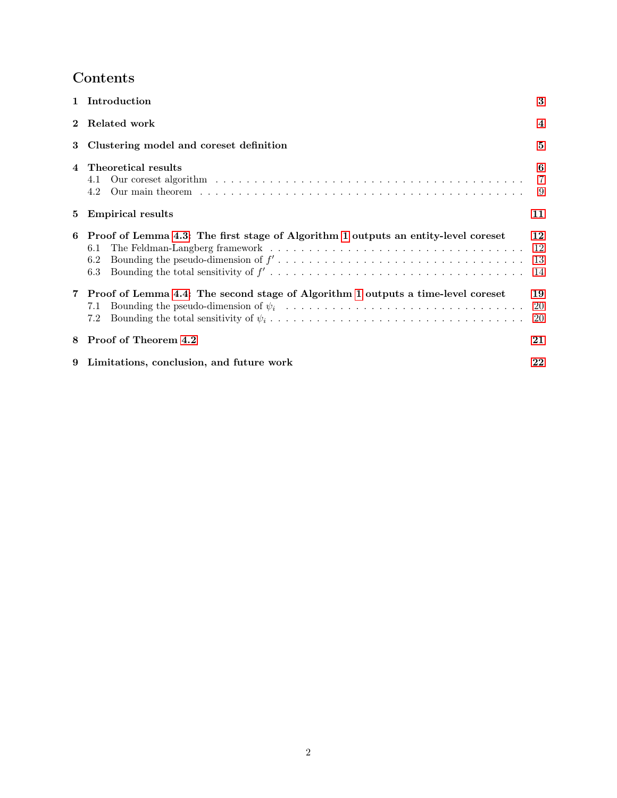# Contents

|              | 1 Introduction                                                                                          | 3                        |  |  |  |  |  |  |  |
|--------------|---------------------------------------------------------------------------------------------------------|--------------------------|--|--|--|--|--|--|--|
| $\mathbf{2}$ | Related work                                                                                            |                          |  |  |  |  |  |  |  |
| 3            | Clustering model and coreset definition                                                                 |                          |  |  |  |  |  |  |  |
|              | Theoretical results<br>4.1<br>4.2                                                                       | 6<br>$\overline{7}$<br>9 |  |  |  |  |  |  |  |
| 5            | <b>Empirical results</b>                                                                                |                          |  |  |  |  |  |  |  |
| 6            | Proof of Lemma 4.3: The first stage of Algorithm 1 outputs an entity-level coreset<br>6.1<br>6.2<br>6.3 | 12<br>12<br>13<br>14     |  |  |  |  |  |  |  |
|              | 7 Proof of Lemma 4.4: The second stage of Algorithm 1 outputs a time-level coreset<br>7.1<br>7.2        | 19<br>20<br>20           |  |  |  |  |  |  |  |
| 8            | Proof of Theorem 4.2                                                                                    | 21                       |  |  |  |  |  |  |  |
| 9            | Limitations, conclusion, and future work                                                                | 22                       |  |  |  |  |  |  |  |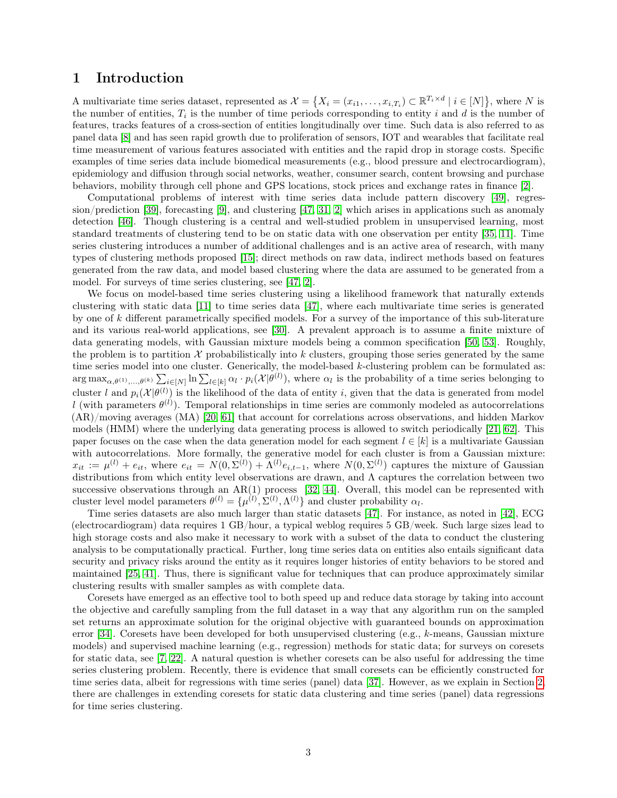## <span id="page-2-0"></span>1 Introduction

A multivariate time series dataset, represented as  $\mathcal{X} = \{X_i = (x_{i1}, \ldots, x_{i,T_i}) \subset \mathbb{R}^{T_i \times d} \mid i \in [N]\},\$  where N is the number of entities,  $T_i$  is the number of time periods corresponding to entity i and d is the number of features, tracks features of a cross-section of entities longitudinally over time. Such data is also referred to as panel data [\[8\]](#page-21-1) and has seen rapid growth due to proliferation of sensors, IOT and wearables that facilitate real time measurement of various features associated with entities and the rapid drop in storage costs. Specific examples of time series data include biomedical measurements (e.g., blood pressure and electrocardiogram), epidemiology and diffusion through social networks, weather, consumer search, content browsing and purchase behaviors, mobility through cell phone and GPS locations, stock prices and exchange rates in finance [\[2\]](#page-21-2).

Computational problems of interest with time series data include pattern discovery [\[49\]](#page-24-0), regression/prediction [\[39\]](#page-23-0), forecasting [\[9\]](#page-21-3), and clustering [\[47,](#page-24-1) [31,](#page-23-1) [2\]](#page-21-2) which arises in applications such as anomaly detection [\[46\]](#page-24-2). Though clustering is a central and well-studied problem in unsupervised learning, most standard treatments of clustering tend to be on static data with one observation per entity [\[35,](#page-23-2) [11\]](#page-22-0). Time series clustering introduces a number of additional challenges and is an active area of research, with many types of clustering methods proposed [\[15\]](#page-22-1); direct methods on raw data, indirect methods based on features generated from the raw data, and model based clustering where the data are assumed to be generated from a model. For surveys of time series clustering, see [\[47,](#page-24-1) [2\]](#page-21-2).

We focus on model-based time series clustering using a likelihood framework that naturally extends clustering with static data [\[11\]](#page-22-0) to time series data [\[47\]](#page-24-1), where each multivariate time series is generated by one of k different parametrically specified models. For a survey of the importance of this sub-literature and its various real-world applications, see [\[30\]](#page-23-3). A prevalent approach is to assume a finite mixture of data generating models, with Gaussian mixture models being a common specification [\[50,](#page-24-3) [53\]](#page-24-4). Roughly, the problem is to partition  $\mathcal X$  probabilistically into k clusters, grouping those series generated by the same time series model into one cluster. Generically, the model-based  $k$ -clustering problem can be formulated as:  $\arg \max_{\alpha, \theta^{(1)}, \dots, \theta^{(k)}} \sum_{i \in [N]} \ln \sum_{l \in [k]} \alpha_l \cdot p_i(\mathcal{X}|\theta^{(l)})$ , where  $\alpha_l$  is the probability of a time series belonging to cluster l and  $p_i(\mathcal{X}|\theta^{(l)})$  is the likelihood of the data of entity i, given that the data is generated from model l (with parameters  $\theta^{(l)}$ ). Temporal relationships in time series are commonly modeled as autocorrelations (AR)/moving averages (MA) [\[20,](#page-22-2) [61\]](#page-24-5) that account for correlations across observations, and hidden Markov models (HMM) where the underlying data generating process is allowed to switch periodically [\[21,](#page-22-3) [62\]](#page-24-6). This paper focuses on the case when the data generation model for each segment  $l \in [k]$  is a multivariate Gaussian with autocorrelations. More formally, the generative model for each cluster is from a Gaussian mixture:  $x_{it} := \mu^{(l)} + e_{it}$ , where  $e_{it} = N(0, \Sigma^{(l)}) + \Lambda^{(l)} e_{i,t-1}$ , where  $N(0, \Sigma^{(l)})$  captures the mixture of Gaussian distributions from which entity level observations are drawn, and Λ captures the correlation between two successive observations through an AR(1) process [\[32,](#page-23-4) [44\]](#page-23-5). Overall, this model can be represented with cluster level model parameters  $\theta^{(l)} = {\mu^{(l)}, \Sigma^{(l)}, \Lambda^{(l)}}$  and cluster probability  $\alpha_l$ .

Time series datasets are also much larger than static datasets [\[47\]](#page-24-1). For instance, as noted in [\[42\]](#page-23-6), ECG (electrocardiogram) data requires 1 GB/hour, a typical weblog requires 5 GB/week. Such large sizes lead to high storage costs and also make it necessary to work with a subset of the data to conduct the clustering analysis to be computationally practical. Further, long time series data on entities also entails significant data security and privacy risks around the entity as it requires longer histories of entity behaviors to be stored and maintained [\[25,](#page-22-4) [41\]](#page-23-7). Thus, there is significant value for techniques that can produce approximately similar clustering results with smaller samples as with complete data.

Coresets have emerged as an effective tool to both speed up and reduce data storage by taking into account the objective and carefully sampling from the full dataset in a way that any algorithm run on the sampled set returns an approximate solution for the original objective with guaranteed bounds on approximation error [\[34\]](#page-23-8). Coresets have been developed for both unsupervised clustering (e.g., k-means, Gaussian mixture models) and supervised machine learning (e.g., regression) methods for static data; for surveys on coresets for static data, see [\[7,](#page-21-4) [22\]](#page-22-5). A natural question is whether coresets can be also useful for addressing the time series clustering problem. Recently, there is evidence that small coresets can be efficiently constructed for time series data, albeit for regressions with time series (panel) data [\[37\]](#page-23-9). However, as we explain in Section [2,](#page-3-0) there are challenges in extending coresets for static data clustering and time series (panel) data regressions for time series clustering.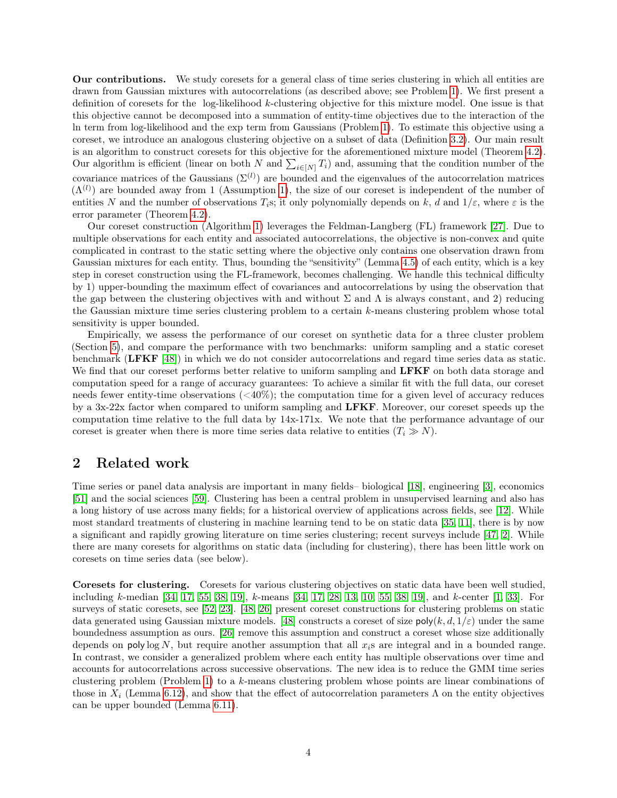Our contributions. We study coresets for a general class of time series clustering in which all entities are drawn from Gaussian mixtures with autocorrelations (as described above; see Problem [1\)](#page-5-1). We first present a definition of coresets for the log-likelihood k-clustering objective for this mixture model. One issue is that this objective cannot be decomposed into a summation of entity-time objectives due to the interaction of the ln term from log-likelihood and the exp term from Gaussians (Problem [1\)](#page-5-1). To estimate this objective using a coreset, we introduce an analogous clustering objective on a subset of data (Definition [3.2\)](#page-5-2). Our main result is an algorithm to construct coresets for this objective for the aforementioned mixture model (Theorem [4.2\)](#page-8-3). Our algorithm is efficient (linear on both N and  $\sum_{i\in[N]}T_i$ ) and, assuming that the condition number of the covariance matrices of the Gaussians  $(\Sigma^{(l)})$  are bounded and the eigenvalues of the autocorrelation matrices  $(\Lambda^{(l)})$  are bounded away from 1 (Assumption [1\)](#page-6-1), the size of our coreset is independent of the number of entities N and the number of observations  $T_i$ s; it only polynomially depends on k, d and  $1/\varepsilon$ , where  $\varepsilon$  is the error parameter (Theorem [4.2\)](#page-8-3).

Our coreset construction (Algorithm [1\)](#page-7-0) leverages the Feldman-Langberg (FL) framework [\[27\]](#page-22-6). Due to multiple observations for each entity and associated autocorrelations, the objective is non-convex and quite complicated in contrast to the static setting where the objective only contains one observation drawn from Gaussian mixtures for each entity. Thus, bounding the "sensitivity" (Lemma [4.5\)](#page-9-0) of each entity, which is a key step in coreset construction using the FL-framework, becomes challenging. We handle this technical difficulty by 1) upper-bounding the maximum effect of covariances and autocorrelations by using the observation that the gap between the clustering objectives with and without  $\Sigma$  and  $\Lambda$  is always constant, and 2) reducing the Gaussian mixture time series clustering problem to a certain k-means clustering problem whose total sensitivity is upper bounded.

Empirically, we assess the performance of our coreset on synthetic data for a three cluster problem (Section [5\)](#page-10-0), and compare the performance with two benchmarks: uniform sampling and a static coreset benchmark (LFKF [\[48\]](#page-24-7)) in which we do not consider autocorrelations and regard time series data as static. We find that our coreset performs better relative to uniform sampling and LFKF on both data storage and computation speed for a range of accuracy guarantees: To achieve a similar fit with the full data, our coreset needs fewer entity-time observations  $( $40\%$ ); the computation time for a given level of accuracy reduces$ by a 3x-22x factor when compared to uniform sampling and LFKF. Moreover, our coreset speeds up the computation time relative to the full data by 14x-171x. We note that the performance advantage of our coreset is greater when there is more time series data relative to entities  $(T_i \gg N)$ .

## <span id="page-3-0"></span>2 Related work

Time series or panel data analysis are important in many fields– biological [\[18\]](#page-22-7), engineering [\[3\]](#page-21-5), economics [\[51\]](#page-24-8) and the social sciences [\[59\]](#page-24-9). Clustering has been a central problem in unsupervised learning and also has a long history of use across many fields; for a historical overview of applications across fields, see [\[12\]](#page-22-8). While most standard treatments of clustering in machine learning tend to be on static data [\[35,](#page-23-2) [11\]](#page-22-0), there is by now a significant and rapidly growing literature on time series clustering; recent surveys include [\[47,](#page-24-1) [2\]](#page-21-2). While there are many coresets for algorithms on static data (including for clustering), there has been little work on coresets on time series data (see below).

Coresets for clustering. Coresets for various clustering objectives on static data have been well studied, including k-median [\[34,](#page-23-8) [17,](#page-22-9) [55,](#page-24-10) [38,](#page-23-10) [19\]](#page-22-10), k-means [34, 17, [28,](#page-23-11) [13,](#page-22-11) [10,](#page-22-12) 55, 38, 19], and k-center [\[1,](#page-21-6) [33\]](#page-23-12). For surveys of static coresets, see [\[52,](#page-24-11) [23\]](#page-22-13). [\[48,](#page-24-7) [26\]](#page-22-14) present coreset constructions for clustering problems on static data generated using Gaussian mixture models. [\[48\]](#page-24-7) constructs a coreset of size  $poly(k, d, 1/\varepsilon)$  under the same boundedness assumption as ours. [\[26\]](#page-22-14) remove this assumption and construct a coreset whose size additionally depends on poly  $\log N$ , but require another assumption that all  $x_i$ s are integral and in a bounded range. In contrast, we consider a generalized problem where each entity has multiple observations over time and accounts for autocorrelations across successive observations. The new idea is to reduce the GMM time series clustering problem (Problem [1\)](#page-5-1) to a k-means clustering problem whose points are linear combinations of those in  $X_i$  (Lemma [6.12\)](#page-16-0), and show that the effect of autocorrelation parameters  $\Lambda$  on the entity objectives can be upper bounded (Lemma [6.11\)](#page-14-0).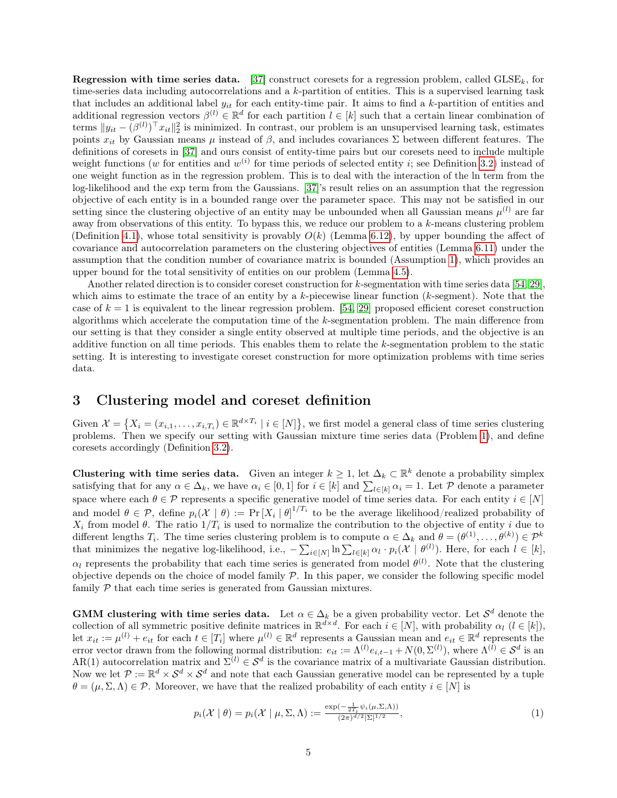**Regression with time series data.** [\[37\]](#page-23-9) construct coresets for a regression problem, called  $GLSE<sub>k</sub>$ , for time-series data including autocorrelations and a k-partition of entities. This is a supervised learning task that includes an additional label  $y_{it}$  for each entity-time pair. It aims to find a k-partition of entities and additional regression vectors  $\beta^{(l)} \in \mathbb{R}^d$  for each partition  $l \in [k]$  such that a certain linear combination of terms  $||y_{it} - (\beta^{(l)})^{\top} x_{it}||_2^2$  is minimized. In contrast, our problem is an unsupervised learning task, estimates points  $x_{it}$  by Gaussian means  $\mu$  instead of  $\beta$ , and includes covariances  $\Sigma$  between different features. The definitions of coresets in [\[37\]](#page-23-9) and ours consist of entity-time pairs but our coresets need to include multiple weight functions (w for entities and  $w^{(i)}$  for time periods of selected entity i; see Definition [3.2\)](#page-5-2) instead of one weight function as in the regression problem. This is to deal with the interaction of the ln term from the log-likelihood and the exp term from the Gaussians. [\[37\]](#page-23-9)'s result relies on an assumption that the regression objective of each entity is in a bounded range over the parameter space. This may not be satisfied in our setting since the clustering objective of an entity may be unbounded when all Gaussian means  $\mu^{(l)}$  are far away from observations of this entity. To bypass this, we reduce our problem to a k-means clustering problem (Definition [4.1\)](#page-6-2), whose total sensitivity is provably  $O(k)$  (Lemma [6.12\)](#page-16-0), by upper bounding the affect of covariance and autocorrelation parameters on the clustering objectives of entities (Lemma [6.11\)](#page-14-0) under the assumption that the condition number of covariance matrix is bounded (Assumption [1\)](#page-6-1), which provides an upper bound for the total sensitivity of entities on our problem (Lemma [4.5\)](#page-9-0).

Another related direction is to consider coreset construction for k-segmentation with time series data [\[54,](#page-24-12) [29\]](#page-23-13). which aims to estimate the trace of an entity by a k-piecewise linear function (k-segment). Note that the case of  $k = 1$  is equivalent to the linear regression problem. [\[54,](#page-24-12) [29\]](#page-23-13) proposed efficient coreset construction algorithms which accelerate the computation time of the k-segmentation problem. The main difference from our setting is that they consider a single entity observed at multiple time periods, and the objective is an additive function on all time periods. This enables them to relate the k-segmentation problem to the static setting. It is interesting to investigate coreset construction for more optimization problems with time series data.

## <span id="page-4-0"></span>3 Clustering model and coreset definition

Given  $\mathcal{X} = \{X_i = (x_{i,1}, \ldots, x_{i,T_i}) \in \mathbb{R}^{d \times T_i} \mid i \in [N]\},\$  we first model a general class of time series clustering problems. Then we specify our setting with Gaussian mixture time series data (Problem [1\)](#page-5-1), and define coresets accordingly (Definition [3.2\)](#page-5-2).

Clustering with time series data. Given an integer  $k \geq 1$ , let  $\Delta_k \subset \mathbb{R}^k$  denote a probability simplex satisfying that for any  $\alpha \in \Delta_k$ , we have  $\alpha_i \in [0,1]$  for  $i \in [k]$  and  $\sum_{l \in [k]} \alpha_i = 1$ . Let  $\mathcal P$  denote a parameter space where each  $\theta \in \mathcal{P}$  represents a specific generative model of time series data. For each entity  $i \in [N]$ and model  $\theta \in \mathcal{P}$ , define  $p_i(\mathcal{X} \mid \theta) := \Pr[X_i \mid \theta]^{1/T_i}$  to be the average likelihood/realized probability of  $X_i$  from model  $\theta$ . The ratio  $1/T_i$  is used to normalize the contribution to the objective of entity i due to different lengths  $T_i$ . The time series clustering problem is to compute  $\alpha \in \Delta_k$  and  $\theta = (\theta^{(1)}, \dots, \theta^{(k)}) \in \mathcal{P}^k$ that minimizes the negative log-likelihood, i.e.,  $-\sum_{i\in[N]} \ln \sum_{l\in[k]} \alpha_l \cdot p_i(\mathcal{X} \mid \theta^{(l)})$ . Here, for each  $l \in [k]$ ,  $\alpha_l$  represents the probability that each time series is generated from model  $\theta^{(l)}$ . Note that the clustering objective depends on the choice of model family  $\mathcal P$ . In this paper, we consider the following specific model family  $P$  that each time series is generated from Gaussian mixtures.

**GMM clustering with time series data.** Let  $\alpha \in \Delta_k$  be a given probability vector. Let  $\mathcal{S}^d$  denote the collection of all symmetric positive definite matrices in  $\mathbb{R}^{d \times d}$ . For each  $i \in [N]$ , with probability  $\alpha_i$   $(l \in [k])$ , let  $x_{it} := \mu^{(l)} + e_{it}$  for each  $t \in [T_i]$  where  $\mu^{(l)} \in \mathbb{R}^d$  represents a Gaussian mean and  $e_{it} \in \mathbb{R}^d$  represents the error vector drawn from the following normal distribution:  $e_{it} := \Lambda^{(l)} e_{i,t-1} + N(0, \Sigma^{(l)})$ , where  $\Lambda^{(l)} \in S^d$  is an AR(1) autocorrelation matrix and  $\Sigma^{(l)} \in S^d$  is the covariance matrix of a multivariate Gaussian distribution. Now we let  $\mathcal{P} := \mathbb{R}^d \times \mathcal{S}^d \times \mathcal{S}^d$  and note that each Gaussian generative model can be represented by a tuple  $\theta = (\mu, \Sigma, \Lambda) \in \mathcal{P}$ . Moreover, we have that the realized probability of each entity  $i \in [N]$  is

<span id="page-4-1"></span>
$$
p_i(\mathcal{X} \mid \theta) = p_i(\mathcal{X} \mid \mu, \Sigma, \Lambda) := \frac{\exp(-\frac{1}{2T_i}\psi_i(\mu, \Sigma, \Lambda))}{(2\pi)^{d/2}|\Sigma|^{1/2}},
$$
\n(1)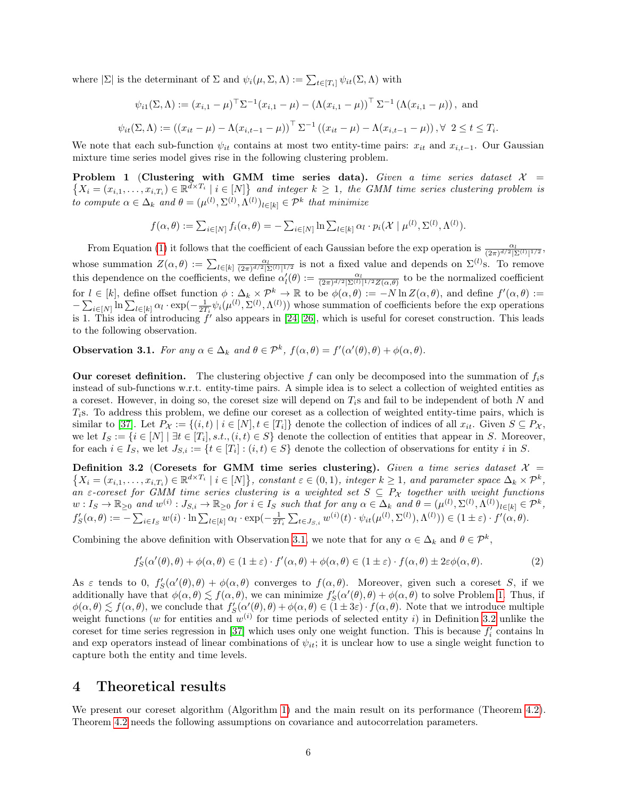where  $|\Sigma|$  is the determinant of  $\Sigma$  and  $\psi_i(\mu, \Sigma, \Lambda) := \sum_{t \in [T_i]} \psi_{it}(\Sigma, \Lambda)$  with

$$
\psi_{i1}(\Sigma,\Lambda) := (x_{i,1} - \mu)^{\top} \Sigma^{-1} (x_{i,1} - \mu) - (\Lambda (x_{i,1} - \mu))^{\top} \Sigma^{-1} (\Lambda (x_{i,1} - \mu)), \text{ and}
$$
  

$$
\psi_{it}(\Sigma,\Lambda) := ((x_{it} - \mu) - \Lambda (x_{i,t-1} - \mu))^{\top} \Sigma^{-1} ((x_{it} - \mu) - \Lambda (x_{i,t-1} - \mu)), \forall 2 \le t \le T_i.
$$

We note that each sub-function  $\psi_{it}$  contains at most two entity-time pairs:  $x_{it}$  and  $x_{i,t-1}$ . Our Gaussian mixture time series model gives rise in the following clustering problem.

<span id="page-5-1"></span>Problem 1 (Clustering with GMM time series data). Given a time series dataset  $\mathcal{X}$  =  $\{X_i = (x_{i,1}, \ldots, x_{i,T_i}) \in \mathbb{R}^{d \times T_i} \mid i \in [N]\}\$  and integer  $k \geq 1$ , the GMM time series clustering problem is to compute  $\alpha \in \Delta_k$  and  $\theta = (\mu^{(l)}, \Sigma^{(l)}, \Lambda^{(l)})_{l \in [k]} \in \mathcal{P}^k$  that minimize

$$
f(\alpha, \theta) := \sum_{i \in [N]} f_i(\alpha, \theta) = - \sum_{i \in [N]} \ln \sum_{l \in [k]} \alpha_l \cdot p_i(\mathcal{X} \mid \mu^{(l)}, \Sigma^{(l)}, \Lambda^{(l)}).
$$

From Equation [\(1\)](#page-4-1) it follows that the coefficient of each Gaussian before the exp operation is  $\frac{\alpha_l}{(2\pi)^{d/2}|\Sigma^{(l)}|^{1/2}},$ whose summation  $Z(\alpha, \theta) := \sum_{l \in [k]} \frac{\alpha_l}{(2\pi)^{d/2} |\Sigma^{(l)}|^{1/2}}$  is not a fixed value and depends on  $\Sigma^{(l)}$ s. To remove this dependence on the coefficients, we define  $\alpha'_l(\theta) := \frac{\alpha_l}{(2\pi)^{d/2}|\Sigma^{(l)}|^{1/2}Z(\alpha,\theta)}$  to be the normalized coefficient for  $l \in [k]$ , define offset function  $\phi : \Delta_k \times \mathcal{P}^k \to \mathbb{R}$  to be  $\phi(\alpha, \theta) := -N \ln Z(\alpha, \theta)$ , and define  $f'(\alpha, \theta) :=$  $-\sum_{i\in[N]} \ln \sum_{l\in[k]} \alpha_l \cdot \exp(-\frac{1}{2T_i} \psi_i(\mu^{(l)}, \Sigma^{(l)}, \Lambda^{(l)}))$  whose summation of coefficients before the exp operations is 1. This idea of introducing  $f'$  also appears in [\[24,](#page-22-15) [26\]](#page-22-14), which is useful for coreset construction. This leads to the following observation.

<span id="page-5-3"></span>**Observation 3.1.** For any  $\alpha \in \Delta_k$  and  $\theta \in \mathcal{P}^k$ ,  $f(\alpha, \theta) = f'(\alpha'(\theta), \theta) + \phi(\alpha, \theta)$ .

Our coreset definition. The clustering objective f can only be decomposed into the summation of  $f_i$ s instead of sub-functions w.r.t. entity-time pairs. A simple idea is to select a collection of weighted entities as a coreset. However, in doing so, the coreset size will depend on  $T_i$ s and fail to be independent of both N and  $T<sub>i</sub>$ s. To address this problem, we define our coreset as a collection of weighted entity-time pairs, which is similar to [\[37\]](#page-23-9). Let  $P_{\mathcal{X}} := \{(i, t) \mid i \in [N], t \in [T_i]\}$  denote the collection of indices of all  $x_{it}$ . Given  $S \subseteq P_{\mathcal{X}}$ , we let  $I_S := \{i \in [N] \mid \exists t \in [T_i], s.t., (i, t) \in S\}$  denote the collection of entities that appear in S. Moreover, for each  $i \in I_S$ , we let  $J_{S,i} := \{t \in [T_i] : (i,t) \in S\}$  denote the collection of observations for entity i in S.

<span id="page-5-2"></span> $\left\{X_i = (x_{i,1}, \ldots, x_{i,T_i}) \in \mathbb{R}^{d \times T_i} \mid i \in [N]\right\}$ , constant  $\varepsilon \in (0,1)$ , integer  $k \geq 1$ , and parameter space  $\Delta_k \times \mathcal{P}^k$ , Definition 3.2 (Coresets for GMM time series clustering). Given a time series dataset  $\mathcal{X} =$ an  $\varepsilon$ -coreset for GMM time series clustering is a weighted set  $S \subseteq P_X$  together with weight functions  $w: I_S \to \mathbb{R}_{\geq 0}$  and  $w^{(i)}: J_{S,i} \to \mathbb{R}_{\geq 0}$  for  $i \in I_S$  such that for any  $\alpha \in \Delta_k$  and  $\theta = (\mu^{(l)}, \Sigma^{(l)}, \Lambda^{(l)})_{l \in [k]} \in \mathcal{P}^k$ ,  $f'_{S}(\alpha, \theta) := -\sum_{i \in I_S} w(i) \cdot \ln \sum_{l \in [k]} \alpha_l \cdot \exp(-\frac{1}{2T_i} \sum_{t \in J_{S,i}} w^{(i)}(t) \cdot \psi_{it}(\mu^{(l)}, \Sigma^{(l)}), \Lambda^{(l)})) \in (1 \pm \varepsilon) \cdot f'(\alpha, \theta).$ 

Combining the above definition with Observation [3.1,](#page-5-3) we note that for any  $\alpha \in \Delta_k$  and  $\theta \in \mathcal{P}^k$ ,

$$
f'_{S}(\alpha'(\theta), \theta) + \phi(\alpha, \theta) \in (1 \pm \varepsilon) \cdot f'(\alpha, \theta) + \phi(\alpha, \theta) \in (1 \pm \varepsilon) \cdot f(\alpha, \theta) \pm 2\varepsilon \phi(\alpha, \theta). \tag{2}
$$

As  $\varepsilon$  tends to 0,  $f'_{S}(\alpha'(\theta),\theta) + \phi(\alpha,\theta)$  converges to  $f(\alpha,\theta)$ . Moreover, given such a coreset S, if we additionally have that  $\phi(\alpha, \theta) \lesssim f(\alpha, \theta)$ , we can minimize  $f_S(\alpha'(\theta), \theta) + \phi(\alpha, \theta)$  to solve Problem [1.](#page-5-1) Thus, if  $\phi(\alpha,\theta) \lesssim f(\alpha,\theta)$ , we conclude that  $f_S(\alpha'(\theta),\theta) + \phi(\alpha,\theta) \in (1 \pm 3\varepsilon) \cdot f(\alpha,\theta)$ . Note that we introduce multiple weight functions (w for entities and  $w^{(i)}$  for time periods of selected entity i) in Definition [3.2](#page-5-2) unlike the coreset for time series regression in [\[37\]](#page-23-9) which uses only one weight function. This is because  $f_i'$  contains ln and exp operators instead of linear combinations of  $\psi_{it}$ ; it is unclear how to use a single weight function to capture both the entity and time levels.

## <span id="page-5-0"></span>4 Theoretical results

We present our coreset algorithm (Algorithm [1\)](#page-7-0) and the main result on its performance (Theorem [4.2\)](#page-8-3). Theorem [4.2](#page-8-3) needs the following assumptions on covariance and autocorrelation parameters.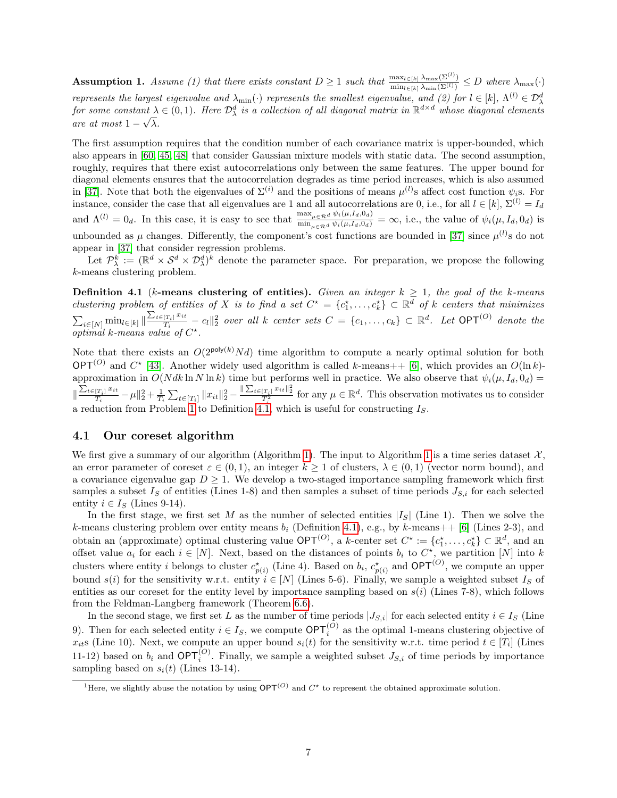<span id="page-6-1"></span>**Assumption 1.** Assume (1) that there exists constant  $D \ge 1$  such that  $\frac{\max_{l \in [k]} \lambda_{\max}(\Sigma^{(l)})}{\min_{l \in [k]} \lambda_{\min}(\Sigma^{(l)})} \le D$  where  $\lambda_{\max}(\cdot)$ represents the largest eigenvalue and  $\lambda_{\min}(\cdot)$  represents the smallest eigenvalue, and (2) for  $l \in [k]$ ,  $\Lambda^{(l)} \in \mathcal{D}^d_\lambda$ for some constant  $\lambda \in (0,1)$ . Here  $\mathcal{D}^d_{\lambda}$  is a collection of all diagonal matrix in  $\mathbb{R}^{d \times d}$  whose diagonal elements are at most  $1 - \sqrt{\lambda}$ .

The first assumption requires that the condition number of each covariance matrix is upper-bounded, which also appears in [\[60,](#page-24-13) [45,](#page-24-14) [48\]](#page-24-7) that consider Gaussian mixture models with static data. The second assumption, roughly, requires that there exist autocorrelations only between the same features. The upper bound for diagonal elements ensures that the autocorrelation degrades as time period increases, which is also assumed in [\[37\]](#page-23-9). Note that both the eigenvalues of  $\Sigma^{(i)}$  and the positions of means  $\mu^{(l)}$ s affect cost function  $\psi_i$ s. For instance, consider the case that all eigenvalues are 1 and all autocorrelations are 0, i.e., for all  $l \in [k]$ ,  $\Sigma^{(l)} = I_d$ and  $\Lambda^{(l)} = 0_d$ . In this case, it is easy to see that  $\frac{\max_{\mu \in \mathcal{R}^d} \psi_i(\mu, I_d, 0_d)}{\min_{\mu \in \mathcal{R}^d} \psi_i(\mu, I_d, 0_d)} = \infty$ , i.e., the value of  $\psi_i(\mu, I_d, 0_d)$  is unbounded as  $\mu$  changes. Differently, the component's cost functions are bounded in [\[37\]](#page-23-9) since  $\mu^{(l)}$ s do not appear in [\[37\]](#page-23-9) that consider regression problems.

Let  $\mathcal{P}_{\lambda}^{k} := (\mathbb{R}^{d} \times \mathcal{S}^{d} \times \mathcal{D}_{\lambda}^{d})^{k}$  denote the parameter space. For preparation, we propose the following k-means clustering problem.

<span id="page-6-2"></span>Definition 4.1 (k-means clustering of entities). Given an integer  $k \geq 1$ , the goal of the k-means clustering problem of entities of X is to find a set  $C^* = \{c_1^*, \ldots, c_k^*\} \subset \mathbb{R}^d$  of k centers that minimizes  $_1,\ldots, c_k$  $\sum_{i\in[N]} \min_{l\in[k]} \|\frac{\sum_{t\in[T_i]} x_{it}}{T_i}$  $\frac{[T_i]}{T_i} \frac{x_{it}}{x_{it}} - c_l \|_2^2$  over all k center sets  $C = \{c_1, \ldots, c_k\} \subset \mathbb{R}^d$ . Let  $\mathsf{OPT}^{(O)}$  denote the optimal k-means value of  $C^*$ .

Note that there exists an  $O(2^{poly(k)}Nd)$  time algorithm to compute a nearly optimal solution for both OPT<sup>(O)</sup> and  $C^*$  [\[43\]](#page-23-14). Another widely used algorithm is called k-means +  $[6]$ , which provides an  $O(\ln k)$ approximation in  $O(N dk \ln N \ln k)$  time but performs well in practice. We also observe that  $\psi_i(\mu, I_d, 0_d)$  $\Big\| \frac{\sum_{t \in [T_i]} x_{it}}{T}$  $\frac{[T_i]^{x_{it}}}{T_i} - \mu \|^2_2 + \frac{1}{T_i} \sum_{t \in [T_i]} ||x_{it}||^2_2 - \frac{||\sum_{t \in [T_i]} x_{it}||^2_2}{T_i^2}$  for any  $\mu \in \mathbb{R}^d$ . This observation motivates us to consider a reduction from Problem [1](#page-5-1) to Definition [4.1,](#page-6-2) which is useful for constructing  $I_S$ .

### <span id="page-6-0"></span>4.1 Our coreset algorithm

We first give a summary of our algorithm (Algorithm [1\)](#page-7-0). The input to Algorithm [1](#page-7-0) is a time series dataset  $\mathcal{X}$ , an error parameter of coreset  $\varepsilon \in (0,1)$ , an integer  $k \ge 1$  of clusters,  $\lambda \in (0,1)$  (vector norm bound), and a covariance eigenvalue gap  $D \geq 1$ . We develop a two-staged importance sampling framework which first samples a subset  $I<sub>S</sub>$  of entities (Lines 1-8) and then samples a subset of time periods  $J<sub>S,i</sub>$  for each selected entity  $i \in I_S$  (Lines 9-14).

In the first stage, we first set M as the number of selected entities  $|I_{S}|$  (Line 1). Then we solve the k-means clustering problem over entity means  $b_i$  (Definition [4.1\)](#page-6-2), e.g., by k-means++ [\[6\]](#page-21-7) (Lines 2-3), and obtain an (approximate) optimal clustering value  $\mathsf{OPT}^{(O)}$ , a k-center set  $C^* := \{c_1^*, \ldots, c_k^*\} \subset \mathbb{R}^d$ , and an offset value  $a_i$  for each  $i \in [N]$ . Next, based on the distances of points  $b_i$  to  $C^*$ , we partition [N] into k clusters where entity i belongs to cluster  $c_{p(i)}^{\star}$  (Line 4). Based on  $b_i$ ,  $c_{p(i)}^{\star}$  and  $\text{OPT}^{(O)}$ , we compute an upper bound  $s(i)$  for the sensitivity w.r.t. entity  $i \in [N]$  (Lines 5-6). Finally, we sample a weighted subset  $I_S$  of entities as our coreset for the entity level by importance sampling based on  $s(i)$  (Lines 7-8), which follows from the Feldman-Langberg framework (Theorem [6.6\)](#page-12-1).

In the second stage, we first set L as the number of time periods  $|J_{S,i}|$  for each selected entity  $i \in I_S$  (Line 9). Then for each selected entity  $i \in I_S$ , we compute  $\mathsf{OPT}_i^{(O)}$  as the optimal 1-means clustering objective of  $x_{it}$ s (Line 10). Next, we compute an upper bound  $s_i(t)$  for the sensitivity w.r.t. time period  $t \in [T_i]$  (Lines 11-12) based on  $b_i$  and  $\text{OPT}_i^{(O)}$ . Finally, we sample a weighted subset  $J_{S,i}$  of time periods by importance sampling based on  $s_i(t)$  (Lines 13-14).

<span id="page-6-3"></span><sup>&</sup>lt;sup>1</sup>Here, we slightly abuse the notation by using  $\mathsf{OPT}^{(O)}$  and  $C^*$  to represent the obtained approximate solution.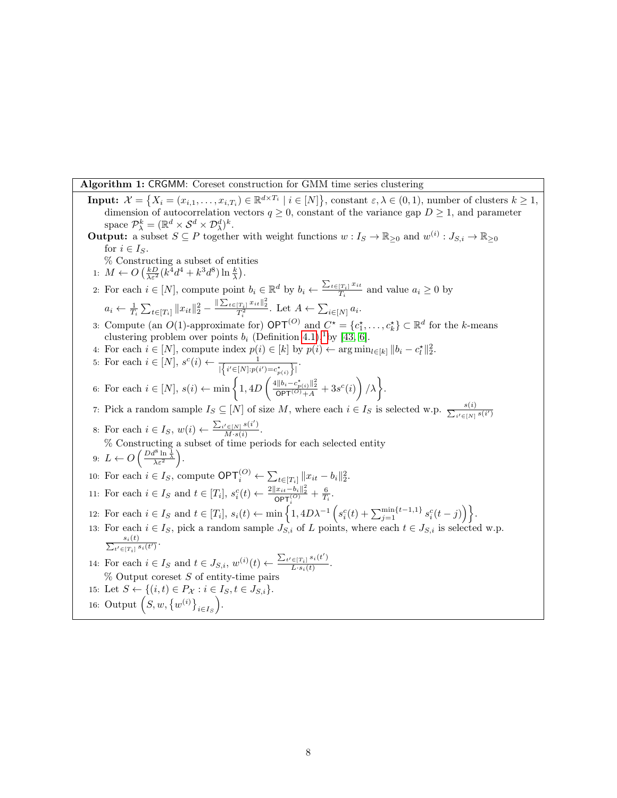#### Algorithm 1: CRGMM: Coreset construction for GMM time series clustering

<span id="page-7-0"></span>**Input:**  $\mathcal{X} = \{X_i = (x_{i,1}, \ldots, x_{i,T_i}) \in \mathbb{R}^{d \times T_i} \mid i \in [N]\}$ , constant  $\varepsilon, \lambda \in (0,1)$ , number of clusters  $k \geq 1$ , dimension of autocorrelation vectors  $q \geq 0$ , constant of the variance gap  $D \geq 1$ , and parameter space  $\mathcal{P}_{\lambda}^{k} = (\mathbb{R}^{d} \times \mathcal{S}^{d} \times \mathcal{D}_{\lambda}^{d})^{k}$ . **Output:** a subset  $S \subseteq P$  together with weight functions  $w: I_S \to \mathbb{R}_{\geq 0}$  and  $w^{(i)}: J_{S,i} \to \mathbb{R}_{\geq 0}$ for  $i \in I_S$ . % Constructing a subset of entities 1:  $M \leftarrow O\left(\frac{k}{\lambda \varepsilon^2} (k^4 d^4 + k^3 d^8) \ln \frac{k}{\lambda}\right)$ . 2: For each  $i \in [N]$ , compute point  $b_i \in \mathbb{R}^d$  by  $b_i \leftarrow \frac{\sum_{t \in [T_i]} x_{it}}{T_i}$  $\frac{|T_i|^{x_{it}}}{T_i}$  and value  $a_i \geq 0$  by  $a_i \leftarrow \frac{1}{T_i} \sum_{t \in [T_i]} \|x_{it}\|_2^2 - \frac{\|\sum_{t \in [T_i]} x_{it}\|_2^2}{T_i^2}.$  Let  $A \leftarrow \sum_{i \in [N]} a_i$ . 3: Compute (an  $O(1)$ -approximate for)  $\mathsf{OPT}^{(O)}$  and  $C^* = \{c_1^*, \ldots, c_k^*\} \subset \mathbb{R}^d$  for the k-means clustering problem over points  $b_i$  (Definition [4.1\)](#page-6-2),<sup>[1](#page-6-3)</sup>by [\[43,](#page-23-14) [6\]](#page-21-7). 4: For each  $i \in [N]$ , compute index  $p(i) \in [k]$  by  $p(i) \leftarrow \arg \min_{l \in [k]} ||b_i - c_l^*||_2^2$ . 5: For each  $i \in [N], s^c(i) \leftarrow \frac{1}{|\{i' \in [N]: p(i') = c_{p(i)}^{\star}\}|}.$ 6: For each  $i \in [N], s(i) \leftarrow \min \left\{ 1, 4D \left( \frac{4||b_i - c_{p(i)}^{\dagger}||_2^2}{\mathsf{OPT}^{(O)} + A} + 3s^c(i) \right) / \lambda \right\}.$ 7: Pick a random sample  $I_S \subseteq [N]$  of size M, where each  $i \in I_S$  is selected w.p.  $\frac{s(i)}{\sum_{i' \in [N]} s(i')}$ 8: For each  $i \in I_S$ ,  $w(i) \leftarrow \frac{\sum_{i' \in [N]} s(i')}{M \cdot s(i)}$  $\frac{N\in[N]^{|\mathcal{S}(k)|}}{M\cdot s(i)}$ . % Constructing a subset of time periods for each selected entity 9:  $L \leftarrow O\left(\frac{D d^8 \ln \frac{1}{\lambda}}{\lambda \varepsilon^2}\right)$ . 10: For each  $i \in I_S$ , compute  $\mathsf{OPT}_i^{(O)} \leftarrow \sum_{t \in [T_i]} ||x_{it} - b_i||_2^2$ . 11: For each  $i \in I_S$  and  $t \in [T_i]$ ,  $s_i^c(t) \leftarrow \frac{2||x_{it}-b_i||_2^2}{\mathsf{OPT}_i^{(O)}} + \frac{6}{T_i}$ . 12: For each  $i \in I_S$  and  $t \in [T_i]$ ,  $s_i(t) \leftarrow \min\left\{1, 4D\lambda^{-1}\left(s_i^c(t) + \sum_{j=1}^{\min\{t-1,1\}} s_i^c(t-j)\right)\right\}.$ 13: For each  $i \in I_S$ , pick a random sample  $J_{S,i}$  of L points, where each  $t \in J_{S,i}$  is selected w.p.  $\frac{s_i(t)}{\sum_{t' \in [T_i]} s_i(t')}$ . 14: For each  $i \in I_S$  and  $t \in J_{S,i}$ ,  $w^{(i)}(t) \leftarrow \frac{\sum_{t' \in [T_i]} s_i(t')}{L_{SS}(t)}$  $\frac{\in [T_i]^{U_i(v)}}{L \cdot s_i(t)}$ .  $%$  Output coreset S of entity-time pairs 15: Let  $S \leftarrow \{(i, t) \in P_{\mathcal{X}} : i \in I_S, t \in J_{S,i}\}.$ 16: Output  $(S, w, \{w^{(i)}\}_{i \in I_S})$ .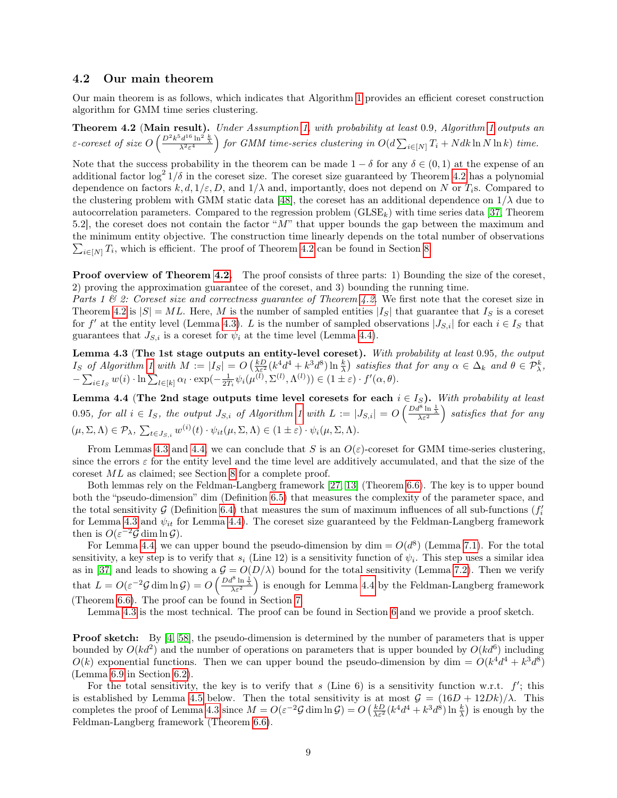#### <span id="page-8-0"></span>4.2 Our main theorem

Our main theorem is as follows, which indicates that Algorithm [1](#page-7-0) provides an efficient coreset construction algorithm for GMM time series clustering.

<span id="page-8-3"></span>**Theorem 4.2 (Main result).** Under Assumption [1,](#page-6-1) with probability at least 0.9, Algorithm [1](#page-7-0) outputs an  $\varepsilon$ -coreset of size  $O\left(\frac{D^2 k^5 d^{16} \ln^2 \frac{k}{\lambda}}{\lambda^2 \varepsilon^4}\right)$  for GMM time-series clustering in  $O(d \sum_{i \in [N]} T_i + N dk \ln N \ln k)$  time.

Note that the success probability in the theorem can be made  $1 - \delta$  for any  $\delta \in (0, 1)$  at the expense of an additional factor  $\log^2 1/\delta$  in the coreset size. The coreset size guaranteed by Theorem [4.2](#page-8-3) has a polynomial dependence on factors  $k, d, 1/\varepsilon, D$ , and  $1/\lambda$  and, importantly, does not depend on N or  $T_i$ s. Compared to the clustering problem with GMM static data [\[48\]](#page-24-7), the coreset has an additional dependence on  $1/\lambda$  due to autocorrelation parameters. Compared to the regression problem  $(GLSE_k)$  with time series data [\[37,](#page-23-9) Theorem 5.2], the coreset does not contain the factor "M" that upper bounds the gap between the maximum and the minimum entity objective. The construction time linearly depends on the total number of observations  $\sum_{i\in[N]}T_i$ , which is efficient. The proof of Theorem [4.2](#page-8-3) can be found in Section [8.](#page-20-0)

**Proof overview of Theorem [4.2.](#page-8-3)** The proof consists of three parts: 1) Bounding the size of the coreset, 2) proving the approximation guarantee of the coreset, and 3) bounding the running time.

Parts 1  $\&$  2: Coreset size and correctness guarantee of Theorem [4.2.](#page-8-3) We first note that the coreset size in Theorem [4.2](#page-8-3) is  $|S| = ML$ . Here, M is the number of sampled entities  $|I_{S}|$  that guarantee that  $I_{S}$  is a coreset for f' at the entity level (Lemma [4.3\)](#page-8-1). L is the number of sampled observations  $|J_{S,i}|$  for each  $i \in I_S$  that guarantees that  $J_{S,i}$  is a coreset for  $\psi_i$  at the time level (Lemma [4.4\)](#page-8-2).

<span id="page-8-1"></span>Lemma 4.3 (The 1st stage outputs an entity-level coreset). With probability at least 0.95, the output  $I_S$  of Algorithm [1](#page-7-0) with  $M := |I_S| = O\left(\frac{kD}{\lambda \varepsilon^2} (k^4 d^4 + k^3 d^8) \ln \frac{k}{\lambda}\right)$  satisfies that for any  $\alpha \in \Delta_k$  and  $\theta \in \mathcal{P}_{\lambda}^k$ ,  $-\sum_{i\in I_S} w(i) \cdot \ln \sum_{l\in [k]} \alpha_l \cdot \exp(-\frac{1}{2T_i} \psi_i(\mu^{(l)}, \Sigma^{(l)}, \Lambda^{(l)})) \in (1 \pm \varepsilon) \cdot f'(\alpha, \theta).$ 

<span id="page-8-2"></span>Lemma 4.4 (The 2nd stage outputs time level coresets for each  $i \in I_S$ ). With probability at least 0.95, for all  $i \in I_S$ , the output  $J_{S,i}$  of Algorithm [1](#page-7-0) with  $L := |J_{S,i}| = O\left(\frac{D d^8 \ln \frac{1}{\lambda}}{\lambda \varepsilon^2}\right)$  satisfies that for any  $(\mu, \Sigma, \Lambda) \in \mathcal{P}_{\lambda}, \sum_{t \in J_{S,i}} w^{(i)}(t) \cdot \psi_{it}(\mu, \Sigma, \Lambda) \in (1 \pm \varepsilon) \cdot \psi_i(\mu, \Sigma, \Lambda).$ 

From Lemmas [4.3](#page-8-1) and [4.4,](#page-8-2) we can conclude that S is an  $O(\varepsilon)$ -coreset for GMM time-series clustering, since the errors  $\varepsilon$  for the entity level and the time level are additively accumulated, and that the size of the coreset ML as claimed; see Section [8](#page-20-0) for a complete proof.

Both lemmas rely on the Feldman-Langberg framework [\[27,](#page-22-6) [13\]](#page-22-11) (Theorem [6.6\)](#page-12-1). The key is to upper bound both the "pseudo-dimension" dim (Definition [6.5\)](#page-12-2) that measures the complexity of the parameter space, and the total sensitivity  $\mathcal G$  (Definition [6.4\)](#page-12-3) that measures the sum of maximum influences of all sub-functions  $(f_i)$ for Lemma [4.3](#page-8-1) and  $\psi_{it}$  for Lemma [4.4\)](#page-8-2). The coreset size guaranteed by the Feldman-Langberg framework then is  $O(\varepsilon^{-2} \mathcal{G} \dim \ln \mathcal{G})$ .

For Lemma [4.4,](#page-8-2) we can upper bound the pseudo-dimension by dim =  $O(d^8)$  (Lemma [7.1\)](#page-19-2). For the total sensitivity, a key step is to verify that  $s_i$  (Line 12) is a sensitivity function of  $\psi_i$ . This step uses a similar idea as in [\[37\]](#page-23-9) and leads to showing a  $G = O(D/\lambda)$  bound for the total sensitivity (Lemma [7.2\)](#page-19-3). Then we verify that  $L = O(\varepsilon^{-2} \mathcal{G} \dim \ln \mathcal{G}) = O\left(\frac{D d^8 \ln \frac{1}{\lambda}}{\lambda \varepsilon^2}\right)$  is enough for Lemma [4.4](#page-8-2) by the Feldman-Langberg framework (Theorem [6.6\)](#page-12-1). The proof can be found in Section [7.](#page-18-0)

Lemma [4.3](#page-8-1) is the most technical. The proof can be found in Section [6](#page-11-0) and we provide a proof sketch.

Proof sketch: By [\[4,](#page-21-8) [58\]](#page-24-15), the pseudo-dimension is determined by the number of parameters that is upper bounded by  $O(kd^2)$  and the number of operations on parameters that is upper bounded by  $O(kd^6)$  including  $O(k)$  exponential functions. Then we can upper bound the pseudo-dimension by dim =  $O(k^4d^4 + k^3d^8)$ (Lemma [6.9](#page-13-1) in Section [6.2\)](#page-12-0).

For the total sensitivity, the key is to verify that  $s$  (Line 6) is a sensitivity function w.r.t.  $f'$ ; this is established by Lemma [4.5](#page-9-0) below. Then the total sensitivity is at most  $G = (16D + 12Dk)/\lambda$ . This completes the proof of Lemma [4.3](#page-8-1) since  $M = O(\varepsilon^{-2} \mathcal{G} \dim \ln \mathcal{G}) = O\left(\frac{kD}{\lambda \varepsilon^2} (k^4 d^4 + k^3 d^8) \ln \frac{k}{\lambda}\right)$  is enough by the Feldman-Langberg framework (Theorem [6.6\)](#page-12-1).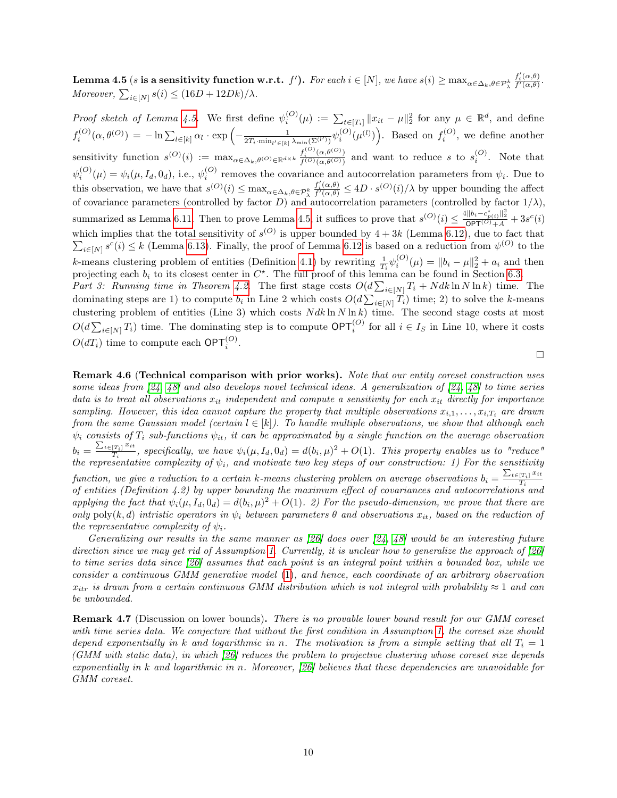<span id="page-9-0"></span> ${\bf Lemma~4.5}$  (s is a sensitivity function w.r.t. f'). For each  $i\in[N],$  we have  $s(i)\geq \max_{\alpha\in\Delta_k,\theta\in\mathcal{P}^k_\lambda}$  $f'_i(\alpha, \theta)$  $\frac{J_i(\alpha,\theta)}{f'(\alpha,\theta)}$ . Moreover,  $\sum_{i \in [N]} s(i) \leq (16D + 12Dk)/\lambda$ .

Proof sketch of Lemma [4.5.](#page-9-0) We first define  $\psi_i^{(O)}(\mu) := \sum_{t \in [T_i]} ||x_{it} - \mu||_2^2$  for any  $\mu \in \mathbb{R}^d$ , and define  $f_i^{(O)}(\alpha, \theta^{(O)}) = -\ln \sum_{l \in [k]} \alpha_l \cdot \exp \left( -\frac{1}{2 T_i \cdot \min_{l' \in [k]} \alpha_l} \right)$  $\frac{1}{2T_i \cdot \min_{l' \in [k]} \lambda_{\min}(\Sigma^{(l')})} \psi_i^{(O)}(\mu^{(l)})\Big)$ . Based on  $f_i^{(O)}$ , we define another sensitivity function  $s^{(O)}(i) := \max_{\alpha \in \Delta_k, \theta^{(O)} \in \mathbb{R}^{d \times k}} \frac{f_i^{(O)}(\alpha, \theta^{(O)})}{f^{(O)}(\alpha, \theta^{(O)})}$  $\frac{f_i^{(O)}(\alpha, \theta^{(O)})}{f^{(O)}(\alpha, \theta^{(O)})}$  and want to reduce s to  $s_i^{(O)}$ . Note that  $\psi_i^{(O)}(\mu) = \psi_i(\mu, I_d, 0_d)$ , i.e.,  $\psi_i^{(O)}$  removes the covariance and autocorrelation parameters from  $\psi_i$ . Due to  $i \quad (\mu) = \psi_i(\mu, \mathbf{1}_d, \mathbf{0}_d), \text{ i.e., } \psi_i$ this observation, we have that  $s^{(O)}(i) \leq \max_{\alpha \in \Delta_k, \theta \in \mathcal{P}_{\lambda}^k}$  $f'_i(\alpha, \theta)$  $\frac{f_i'(\alpha,\theta)}{f'(\alpha,\theta)} \leq 4D \cdot s^{(O)}(i)/\lambda$  by upper bounding the affect of covariance parameters (controlled by factor D) and autocorrelation parameters (controlled by factor  $1/\lambda$ ), summarized as Lemma [6.11.](#page-14-0) Then to prove Lemma [4.5,](#page-9-0) it suffices to prove that  $s^{(O)}(i) \le \frac{4||b_i - c^*_{p(i)}||_2^2}{\mathsf{OPT}^{(O)} + A} + 3s^c(i)$ which implies that the total sensitivity of  $s^{(O)}$  is upper bounded by  $4 + 3k$  (Lemma [6.12\)](#page-16-0), due to fact that  $\sum_{i\in[N]} s^c(i) \leq k$  (Lemma [6.13\)](#page-16-1). Finally, the proof of Lemma [6.12](#page-16-0) is based on a reduction from  $\psi^{(O)}$  to the k-means clustering problem of entities (Definition [4.1\)](#page-6-2) by rewriting  $\frac{1}{T_i}\psi_i^{(O)}(\mu) = ||b_i - \mu||_2^2 + a_i$  and then projecting each  $b_i$  to its closest center in  $C^*$ . The full proof of this lemma can be found in Section [6.3.](#page-13-0) Part 3: Running time in Theorem [4.2.](#page-8-3) The first stage costs  $O(d\sum_{i\in[N]}T_i + Ndk \ln N \ln k)$  time. The dominating steps are 1) to compute  $b_i$  in Line 2 which costs  $O(d\sum_{i\in[N]}T_i)$  time; 2) to solve the k-means clustering problem of entities (Line 3) which costs  $N dk \ln N \ln k$ ) time. The second stage costs at most  $O(d\sum_{i\in[N]}T_i)$  time. The dominating step is to compute  $\mathsf{OPT}_i^{(O)}$  for all  $i\in I_S$  in Line 10, where it costs

 $O(dT_i)$  time to compute each  $\mathsf{OPT}_i^{(O)}$ .

 $\Box$ 

Remark 4.6 (Technical comparison with prior works). Note that our entity coreset construction uses some ideas from [\[24,](#page-22-15) [48\]](#page-24-7) and also develops novel technical ideas. A generalization of [\[24,](#page-22-15) [48\]](#page-24-7) to time series data is to treat all observations  $x_{it}$  independent and compute a sensitivity for each  $x_{it}$  directly for importance sampling. However, this idea cannot capture the property that multiple observations  $x_{i,1}, \ldots, x_{i,T_i}$  are drawn from the same Gaussian model (certain  $l \in [k]$ ). To handle multiple observations, we show that although each  $\psi_i$  consists of  $T_i$  sub-functions  $\psi_{it}$ , it can be approximated by a single function on the average observation  $b_i = \frac{\sum_{t \in [T_i]} x_{it}}{T_i}$  $\frac{[T_i]}{T_i}$ , specifically, we have  $\psi_i(\mu, I_d, 0_d) = d(b_i, \mu)^2 + O(1)$ . This property enables us to "reduce" the representative complexity of  $\psi_i$ , and motivate two key steps of our construction: 1) For the sensitivity function, we give a reduction to a certain k-means clustering problem on average observations  $b_i = \frac{\sum_{t \in [T_i]} x_{it}}{T_i}$  $\scriptstyle T_i$ of entities (Definition 4.2) by upper bounding the maximum effect of covariances and autocorrelations and applying the fact that  $\psi_i(\mu, I_d, 0_d) = d(b_i, \mu)^2 + O(1)$ . 2) For the pseudo-dimension, we prove that there are only poly(k, d) intristic operators in  $\psi_i$  between parameters  $\theta$  and observations  $x_{it}$ , based on the reduction of the representative complexity of  $\psi_i$ .

Generalizing our results in the same manner as  $[26]$  does over  $[24, 48]$  $[24, 48]$  $[24, 48]$  would be an interesting future direction since we may get rid of Assumption [1.](#page-6-1) Currently, it is unclear how to generalize the approach of [\[26\]](#page-22-14) to time series data since [\[26\]](#page-22-14) assumes that each point is an integral point within a bounded box, while we consider a continuous GMM generative model [\(1\)](#page-4-1), and hence, each coordinate of an arbitrary observation  $x_{itr}$  is drawn from a certain continuous GMM distribution which is not integral with probability  $\approx 1$  and can be unbounded.

**Remark 4.7** (Discussion on lower bounds). There is no provable lower bound result for our GMM coreset with time series data. We conjecture that without the first condition in Assumption [1,](#page-6-1) the coreset size should depend exponentially in k and logarithmic in n. The motivation is from a simple setting that all  $T_i = 1$ (GMM with static data), in which [\[26\]](#page-22-14) reduces the problem to projective clustering whose coreset size depends exponentially in k and logarithmic in n. Moreover, [\[26\]](#page-22-14) believes that these dependencies are unavoidable for GMM coreset.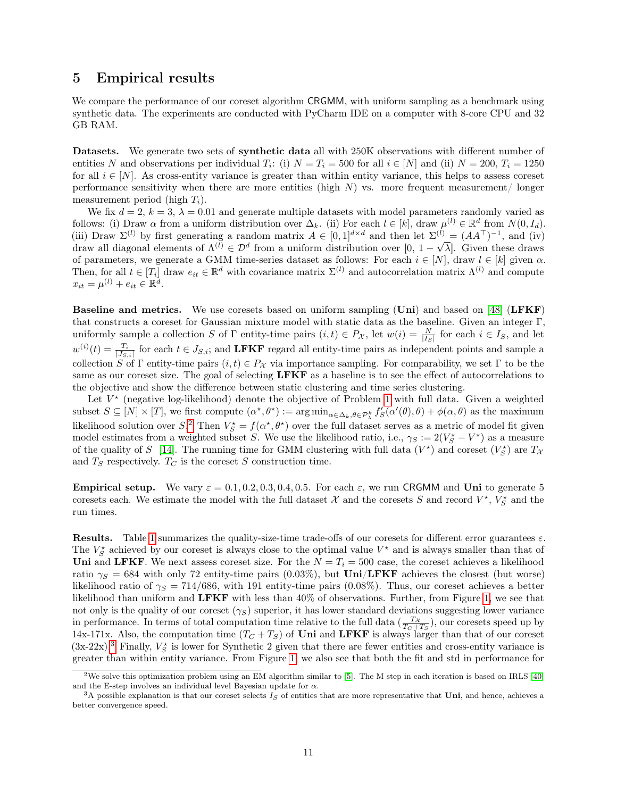## <span id="page-10-0"></span>5 Empirical results

We compare the performance of our coreset algorithm CRGMM, with uniform sampling as a benchmark using synthetic data. The experiments are conducted with PyCharm IDE on a computer with 8-core CPU and 32 GB RAM.

Datasets. We generate two sets of **synthetic data** all with 250K observations with different number of entities N and observations per individual  $T_i$ : (i)  $N = T_i = 500$  for all  $i \in [N]$  and (ii)  $N = 200$ ,  $T_i = 1250$ for all  $i \in [N]$ . As cross-entity variance is greater than within entity variance, this helps to assess coreset performance sensitivity when there are more entities (high  $N$ ) vs. more frequent measurement one measurement period (high  $T_i$ ).

We fix  $d = 2$ ,  $k = 3$ ,  $\lambda = 0.01$  and generate multiple datasets with model parameters randomly varied as follows: (i) Draw  $\alpha$  from a uniform distribution over  $\Delta_k$ . (ii) For each  $l \in [k]$ , draw  $\mu^{(l)} \in \mathbb{R}^d$  from  $N(0, I_d)$ . (iii) Draw  $\Sigma^{(l)}$  by first generating a random matrix  $A \in [0,1]^{d \times d}$  and then let  $\Sigma^{(l)} = (AA^{\top})^{-1}$ , and (iv) draw all diagonal elements of  $\Lambda^{(l)} \in \mathcal{D}^d$  from a uniform distribution over  $[0, 1 - \sqrt{\lambda}]$ . Given these draws of parameters, we generate a GMM time-series dataset as follows: For each  $i \in [N]$ , draw  $l \in [k]$  given  $\alpha$ . Then, for all  $t \in [T_i]$  draw  $e_{it} \in \mathbb{R}^d$  with covariance matrix  $\Sigma^{(l)}$  and autocorrelation matrix  $\Lambda^{(l)}$  and compute  $x_{it} = \mu^{(l)} + e_{it} \in \mathbb{R}^d$ .

Baseline and metrics. We use coresets based on uniform sampling (Uni) and based on [\[48\]](#page-24-7) (LFKF) that constructs a coreset for Gaussian mixture model with static data as the baseline. Given an integer Γ, uniformly sample a collection S of  $\Gamma$  entity-time pairs  $(i, t) \in P_{\mathcal{X}}$ , let  $w(i) = \frac{N}{|I_S|}$  for each  $i \in I_S$ , and let  $w^{(i)}(t) = \frac{T_i}{|J_{S,i}|}$  for each  $t \in J_{S,i}$ ; and LFKF regard all entity-time pairs as independent points and sample a collection S of Γ entity-time pairs  $(i, t) \in P_{\mathcal{X}}$  via importance sampling. For comparability, we set Γ to be the same as our coreset size. The goal of selecting LFKF as a baseline is to see the effect of autocorrelations to the objective and show the difference between static clustering and time series clustering.

Let  $V^*$  (negative log-likelihood) denote the objective of Problem [1](#page-5-1) with full data. Given a weighted subset  $S \subseteq [N] \times [T]$ , we first compute  $(\alpha^*, \theta^*) := \arg \min_{\alpha \in \Delta_k, \theta \in \mathcal{P}^k_\lambda} f'_S(\alpha'(\theta), \theta) + \phi(\alpha, \theta)$  as the maximum likelihood solution over  $S^2$  $S^2$ . Then  $V_S^* = f(\alpha^*, \theta^*)$  over the full dataset serves as a metric of model fit given model estimates from a weighted subset S. We use the likelihood ratio, i.e.,  $\gamma_S := 2(V_S^* - V^*)$  as a measure of the quality of S [\[14\]](#page-22-16). The running time for GMM clustering with full data  $(V^*)$  and coreset  $(V^*_S)$  are  $T_{\mathcal{X}}$ and  $T<sub>S</sub>$  respectively.  $T<sub>C</sub>$  is the coreset S construction time.

**Empirical setup.** We vary  $\varepsilon = 0.1, 0.2, 0.3, 0.4, 0.5$ . For each  $\varepsilon$ , we run CRGMM and Uni to generate 5 coresets each. We estimate the model with the full dataset  $\mathcal X$  and the coresets S and record  $V^*$ ,  $V^*_{S}$  and the run times.

Results. Table [1](#page-11-2) summarizes the quality-size-time trade-offs of our coresets for different error guarantees  $\varepsilon$ . The  $V_S^*$  achieved by our coreset is always close to the optimal value  $V^*$  and is always smaller than that of Uni and LFKF. We next assess coreset size. For the  $N = T_i = 500$  case, the coreset achieves a likelihood ratio  $\gamma_S = 684$  with only 72 entity-time pairs (0.03%), but Uni/LFKF achieves the closest (but worse) likelihood ratio of  $\gamma_s = 714/686$ , with 191 entity-time pairs (0.08%). Thus, our coreset achieves a better likelihood than uniform and LFKF with less than 40% of observations. Further, from Figure [1,](#page-11-3) we see that not only is the quality of our coreset  $(\gamma_S)$  superior, it has lower standard deviations suggesting lower variance in performance. In terms of total computation time relative to the full data  $(\frac{T_X}{T_C+T_S})$ , our coresets speed up by 14x-171x. Also, the computation time  $(T_C + T_S)$  of Uni and LFKF is always larger than that of our coreset  $(3x-22x).$  $(3x-22x).$  $(3x-22x).$ <sup>3</sup> Finally,  $V_s^*$  is lower for Synthetic 2 given that there are fewer entities and cross-entity variance is greater than within entity variance. From Figure [1,](#page-11-3) we also see that both the fit and std in performance for

<span id="page-10-1"></span><sup>&</sup>lt;sup>2</sup>We solve this optimization problem using an EM algorithm similar to [\[5\]](#page-21-9). The M step in each iteration is based on IRLS [\[40\]](#page-23-15) and the E-step involves an individual level Bayesian update for  $\alpha$ .

<span id="page-10-2"></span> $3A$  possible explanation is that our coreset selects  $I_S$  of entities that are more representative that Uni, and hence, achieves a better convergence speed.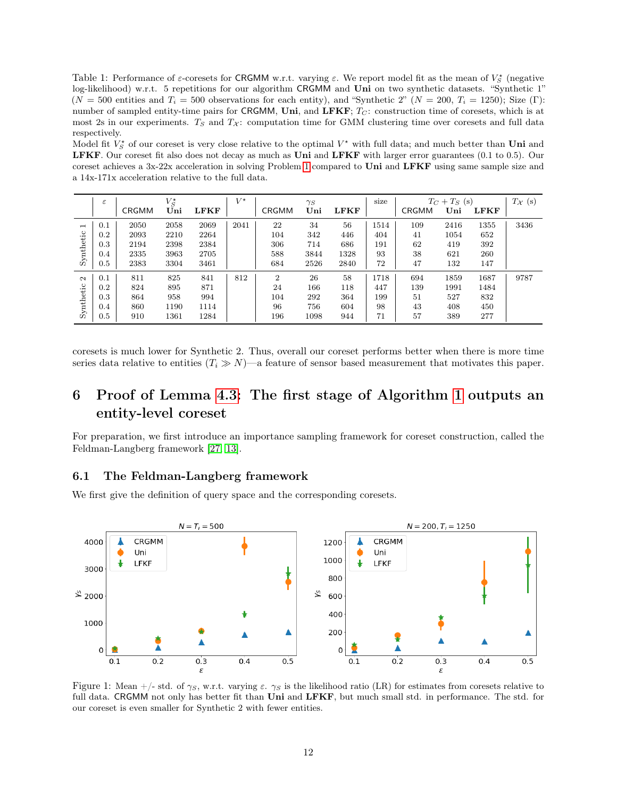<span id="page-11-2"></span>Table 1: Performance of  $\varepsilon$ -coresets for CRGMM w.r.t. varying  $\varepsilon$ . We report model fit as the mean of  $V_S^{\star}$  (negative log-likelihood) w.r.t. 5 repetitions for our algorithm CRGMM and Uni on two synthetic datasets. "Synthetic 1"  $(N = 500$  entities and  $T_i = 500$  observations for each entity), and "Synthetic 2"  $(N = 200, T_i = 1250)$ ; Size (Γ): number of sampled entity-time pairs for CRGMM, Uni, and LFKF;  $T_C$ : construction time of coresets, which is at most 2s in our experiments.  $T_S$  and  $T_X$ : computation time for GMM clustering time over coresets and full data respectively.

Model fit  $V_S^*$  of our coreset is very close relative to the optimal  $V^*$  with full data; and much better than Uni and LFKF. Our coreset fit also does not decay as much as Uni and LFKF with larger error guarantees (0.1 to 0.5). Our coreset achieves a 3x-22x acceleration in solving Problem [1](#page-5-1) compared to Uni and LFKF using same sample size and a 14x-171x acceleration relative to the full data.

|                   | $\varepsilon$ | $V_S^{\star}$ |      |             | $V^{\star}$ | $\gamma_S$     |      |             | size | $T_C+T_S$ (s) |      |             | $T_{\mathcal{X}}$ (s) |
|-------------------|---------------|---------------|------|-------------|-------------|----------------|------|-------------|------|---------------|------|-------------|-----------------------|
|                   |               | <b>CRGMM</b>  | Uni  | <b>LFKF</b> |             | <b>CRGMM</b>   | Uni  | <b>LFKF</b> |      | CRGMM         | Uni  | <b>LFKF</b> |                       |
| $\overline{ }$    | 0.1           | 2050          | 2058 | 2069        | 2041        | 22             | 34   | 56          | 1514 | 109           | 2416 | 1355        | 3436                  |
|                   | 0.2           | 2093          | 2210 | 2264        |             | 104            | 342  | 446         | 404  | 41            | 1054 | 652         |                       |
|                   | 0.3           | 2194          | 2398 | 2384        |             | 306            | 714  | 686         | 191  | 62            | 419  | 392         |                       |
| Synthetic         | 0.4           | 2335          | 3963 | 2705        |             | 588            | 3844 | 1328        | 93   | 38            | 621  | 260         |                       |
|                   | 0.5           | 2383          | 3304 | 3461        |             | 684            | 2526 | 2840        | 72   | 47            | 132  | 147         |                       |
| $\mathbf{\Omega}$ | 0.1           | 811           | 825  | 841         | 812         | $\overline{2}$ | 26   | 58          | 1718 | 694           | 1859 | 1687        | 9787                  |
|                   | 0.2           | 824           | 895  | 871         |             | 24             | 166  | 118         | 447  | 139           | 1991 | 1484        |                       |
|                   | 0.3           | 864           | 958  | 994         |             | 104            | 292  | 364         | 199  | 51            | 527  | 832         |                       |
| Synthetic         | 0.4           | 860           | 1190 | 1114        |             | 96             | 756  | 604         | 98   | 43            | 408  | 450         |                       |
|                   | 0.5           | 910           | 1361 | 1284        |             | 196            | 1098 | 944         | 71   | 57            | 389  | 277         |                       |

coresets is much lower for Synthetic 2. Thus, overall our coreset performs better when there is more time series data relative to entities  $(T_i \gg N)$ —a feature of sensor based measurement that motivates this paper.

# <span id="page-11-0"></span>6 Proof of Lemma [4.3:](#page-8-1) The first stage of Algorithm [1](#page-7-0) outputs an entity-level coreset

For preparation, we first introduce an importance sampling framework for coreset construction, called the Feldman-Langberg framework [\[27,](#page-22-6) [13\]](#page-22-11).

### <span id="page-11-1"></span>6.1 The Feldman-Langberg framework

We first give the definition of query space and the corresponding coresets.

<span id="page-11-3"></span>

Figure 1: Mean +/- std. of  $\gamma_S$ , w.r.t. varying  $\varepsilon$ .  $\gamma_S$  is the likelihood ratio (LR) for estimates from coresets relative to full data. CRGMM not only has better fit than Uni and LFKF, but much small std. in performance. The std. for our coreset is even smaller for Synthetic 2 with fewer entities.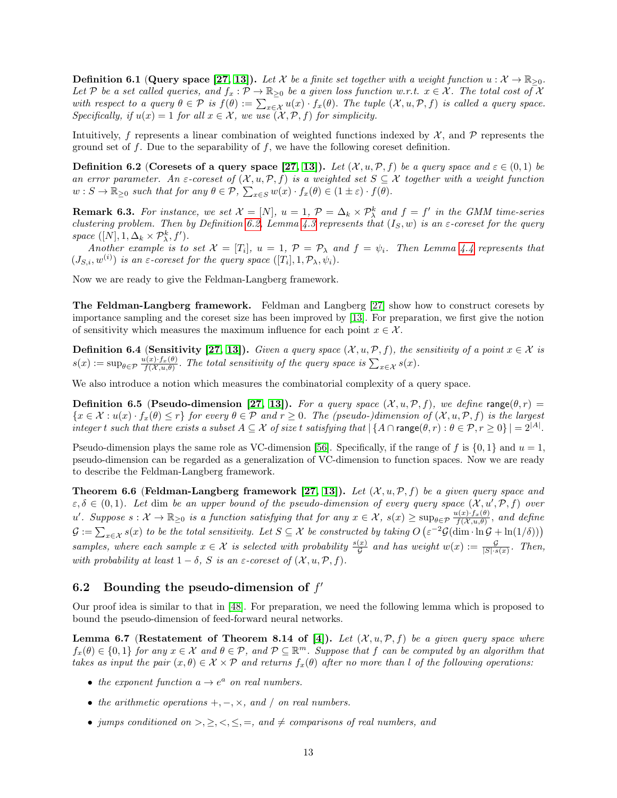**Definition 6.1 (Query space [\[27,](#page-22-6) [13\]](#page-22-11)).** Let X be a finite set together with a weight function  $u : \mathcal{X} \to \mathbb{R}_{\geq 0}$ . Let P be a set called queries, and  $f_x : \mathcal{P} \to \mathbb{R}_{\geq 0}$  be a given loss function w.r.t.  $x \in \mathcal{X}$ . The total cost of X with respect to a query  $\theta \in \mathcal{P}$  is  $f(\theta) := \sum_{x \in \mathcal{X}} u(x) \cdot f_x(\theta)$ . The tuple  $(\mathcal{X}, u, \mathcal{P}, f)$  is called a query space. Specifically, if  $u(x) = 1$  for all  $x \in \mathcal{X}$ , we use  $(\mathcal{X}, \mathcal{P}, f)$  for simplicity.

Intuitively, f represents a linear combination of weighted functions indexed by  $\mathcal{X}$ , and  $\mathcal{P}$  represents the ground set of  $f$ . Due to the separability of  $f$ , we have the following coreset definition.

<span id="page-12-4"></span>**Definition 6.2** (Coresets of a query space [\[27,](#page-22-6) [13\]](#page-22-11)). Let  $(\mathcal{X}, u, \mathcal{P}, f)$  be a query space and  $\varepsilon \in (0, 1)$  be an error parameter. An  $\varepsilon$ -coreset of  $(X, u, P, f)$  is a weighted set  $S \subseteq \mathcal{X}$  together with a weight function  $w: S \to \mathbb{R}_{\geq 0}$  such that for any  $\theta \in \mathcal{P}$ ,  $\sum_{x \in S} w(x) \cdot f_x(\theta) \in (1 \pm \varepsilon) \cdot f(\theta)$ .

**Remark 6.3.** For instance, we set  $\mathcal{X} = [N]$ ,  $u = 1$ ,  $\mathcal{P} = \Delta_k \times \mathcal{P}_\lambda^k$  and  $f = f'$  in the GMM time-series clustering problem. Then by Definition [6.2,](#page-12-4) Lemma [4.3](#page-8-1) represents that  $(I_S, w)$  is an  $\varepsilon$ -coreset for the query space  $([N], 1, \Delta_k \times \mathcal{P}_{\lambda}^k, f')$ .

Another example is to set  $\mathcal{X} = [T_i], u = 1, \mathcal{P} = \mathcal{P}_\lambda$  and  $f = \psi_i$ . Then Lemma [4.4](#page-8-2) represents that  $(J_{S,i}, w^{(i)})$  is an  $\varepsilon$ -coreset for the query space  $([T_i], 1, \mathcal{P}_\lambda, \psi_i)$ .

Now we are ready to give the Feldman-Langberg framework.

The Feldman-Langberg framework. Feldman and Langberg [\[27\]](#page-22-6) show how to construct coresets by importance sampling and the coreset size has been improved by [\[13\]](#page-22-11). For preparation, we first give the notion of sensitivity which measures the maximum influence for each point  $x \in \mathcal{X}$ .

<span id="page-12-3"></span>**Definition 6.4 (Sensitivity [\[27,](#page-22-6) [13\]](#page-22-11)).** Given a query space  $(\mathcal{X}, u, \mathcal{P}, f)$ , the sensitivity of a point  $x \in \mathcal{X}$  is  $s(x) := \sup_{\theta \in \mathcal{P}} \frac{u(x) \cdot f_x(\theta)}{f(x, u, \theta)}$ . The total sensitivity of the query space is  $\sum_{x \in \mathcal{X}} s(x)$ .

We also introduce a notion which measures the combinatorial complexity of a query space.

<span id="page-12-2"></span>**Definition 6.5 (Pseudo-dimension [\[27,](#page-22-6) [13\]](#page-22-11)).** For a query space  $(\mathcal{X}, u, \mathcal{P}, f)$ , we define range $(\theta, r)$  =  $\{x \in \mathcal{X} : u(x) \cdot f_x(\theta) \leq r\}$  for every  $\theta \in \mathcal{P}$  and  $r \geq 0$ . The (pseudo-)dimension of  $(\mathcal{X}, u, \mathcal{P}, f)$  is the largest integer t such that there exists a subset  $A \subseteq \mathcal{X}$  of size t satisfying that  $|\{A \cap \text{range}(\theta, r) : \theta \in \mathcal{P}, r \geq 0\}| = 2^{|A|}$ .

Pseudo-dimension plays the same role as VC-dimension [\[56\]](#page-24-16). Specifically, if the range of f is  $\{0, 1\}$  and  $u = 1$ , pseudo-dimension can be regarded as a generalization of VC-dimension to function spaces. Now we are ready to describe the Feldman-Langberg framework.

<span id="page-12-1"></span>**Theorem 6.6 (Feldman-Langberg framework [\[27,](#page-22-6) [13\]](#page-22-11)).** Let  $(X, u, \mathcal{P}, f)$  be a given query space and  $\varepsilon, \delta \in (0,1)$ . Let dim be an upper bound of the pseudo-dimension of every query space  $(\mathcal{X}, u', \mathcal{P}, f)$  over u'. Suppose  $s: \mathcal{X} \to \mathbb{R}_{\geq 0}$  is a function satisfying that for any  $x \in \mathcal{X}$ ,  $s(x) \geq \sup_{\theta \in \mathcal{P}} \frac{u(x) \cdot f_x(\theta)}{f(\mathcal{X}, u, \theta)}$ , and define  $\mathcal{G} := \sum_{x \in \mathcal{X}} s(x)$  to be the total sensitivity. Let  $S \subseteq \mathcal{X}$  be constructed by taking  $O\left(\varepsilon^{-2} \mathcal{G}(\dim \cdot \ln \mathcal{G} + \ln(1/\delta))\right)$ samples, where each sample  $x \in \mathcal{X}$  is selected with probability  $\frac{s(x)}{G}$  and has weight  $w(x) := \frac{G}{|S| \cdot s(x)}$ . Then, with probability at least  $1 - \delta$ , S is an  $\varepsilon$ -coreset of  $(\mathcal{X}, u, \mathcal{P}, f)$ .

## <span id="page-12-0"></span>6.2 Bounding the pseudo-dimension of  $f'$

Our proof idea is similar to that in [\[48\]](#page-24-7). For preparation, we need the following lemma which is proposed to bound the pseudo-dimension of feed-forward neural networks.

<span id="page-12-5"></span>Lemma 6.7 (Restatement of Theorem 8.14 of [\[4\]](#page-21-8)). Let  $(X, u, \mathcal{P}, f)$  be a given query space where  $f_x(\theta) \in \{0,1\}$  for any  $x \in \mathcal{X}$  and  $\theta \in \mathcal{P}$ , and  $\mathcal{P} \subseteq \mathbb{R}^m$ . Suppose that f can be computed by an algorithm that takes as input the pair  $(x, \theta) \in \mathcal{X} \times \mathcal{P}$  and returns  $f_x(\theta)$  after no more than l of the following operations:

- the exponent function  $a \to e^a$  on real numbers.
- the arithmetic operations  $+,-,\times$ , and / on real numbers.
- jumps conditioned on  $>,\geq,<,\leq,=,$  and  $\neq$  comparisons of real numbers, and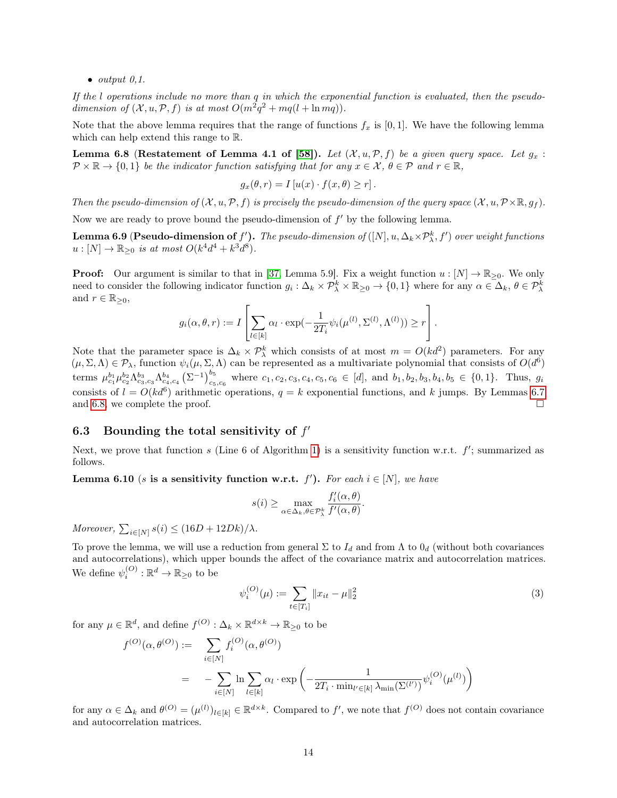$\bullet$  output 0.1.

If the l operations include no more than q in which the exponential function is evaluated, then the pseudodimension of  $(X, u, P, f)$  is at most  $O(m^2q^2 + mq(l + \ln mq))$ .

Note that the above lemma requires that the range of functions  $f_x$  is [0, 1]. We have the following lemma which can help extend this range to R.

<span id="page-13-2"></span>**Lemma 6.8 (Restatement of Lemma 4.1 of [\[58\]](#page-24-15)).** Let  $(\mathcal{X}, u, \mathcal{P}, f)$  be a given query space. Let  $g_x$ :  $\mathcal{P} \times \mathbb{R} \to \{0,1\}$  be the indicator function satisfying that for any  $x \in \mathcal{X}, \theta \in \mathcal{P}$  and  $r \in \mathbb{R}$ ,

$$
g_x(\theta, r) = I[u(x) \cdot f(x, \theta) \ge r].
$$

Then the pseudo-dimension of  $(\mathcal{X}, u, \mathcal{P}, f)$  is precisely the pseudo-dimension of the query space  $(\mathcal{X}, u, \mathcal{P} \times \mathbb{R}, g_f)$ .

Now we are ready to prove bound the pseudo-dimension of  $f'$  by the following lemma.

<span id="page-13-1"></span>**Lemma 6.9 (Pseudo-dimension of f').** The pseudo-dimension of  $([N], u, \Delta_k \times \mathcal{P}^k_\lambda, f')$  over weight functions  $u: [N] \to \mathbb{R}_{\geq 0}$  is at most  $O(k^4d^4 + k^3d^8)$ .

**Proof:** Our argument is similar to that in [\[37,](#page-23-9) Lemma 5.9]. Fix a weight function  $u : [N] \to \mathbb{R}_{\geq 0}$ . We only need to consider the following indicator function  $g_i : \Delta_k \times \mathcal{P}_{\lambda}^k \times \mathbb{R}_{\geq 0} \to \{0,1\}$  where for any  $\alpha \in \Delta_k$ ,  $\theta \in \mathcal{P}_{\lambda}^k$ and  $r \in \mathbb{R}_{\geq 0}$ ,

$$
g_i(\alpha, \theta, r) := I\left[\sum_{l \in [k]} \alpha_l \cdot \exp(-\frac{1}{2T_i}\psi_i(\mu^{(l)}, \Sigma^{(l)}, \Lambda^{(l)})) \geq r\right].
$$

Note that the parameter space is  $\Delta_k \times \mathcal{P}^k_{\lambda}$  which consists of at most  $m = O(kd^2)$  parameters. For any  $(\mu, \Sigma, \Lambda) \in \mathcal{P}_{\lambda}$ , function  $\psi_i(\mu, \Sigma, \Lambda)$  can be represented as a multivariate polynomial that consists of  $O(d^6)$ terms  $\mu_{c_1}^{b_1} \mu_{c_2}^{b_2} \Lambda_{c_3,c_3}^{b_4} \Lambda_{c_4,c_4}^{b_4} (\Sigma^{-1})_{c_5,c_6}^{b_5}$  where  $c_1, c_2, c_3, c_4, c_5, c_6 \in [d]$ , and  $b_1, b_2, b_3, b_4, b_5 \in \{0, 1\}$ . Thus,  $g_i$ consists of  $l = O(kd^6)$  arithmetic operations,  $q = k$  exponential functions, and k jumps. By Lemmas [6.7](#page-12-5) and [6.8,](#page-13-2) we complete the proof.  $\square$ 

## <span id="page-13-0"></span>6.3 Bounding the total sensitivity of  $f'$

Next, we prove that function  $s$  (Line 6 of Algorithm [1\)](#page-7-0) is a sensitivity function w.r.t.  $f'$ ; summarized as follows.

<span id="page-13-3"></span>Lemma 6.10 (s is a sensitivity function w.r.t. f'). For each  $i \in [N]$ , we have

$$
s(i) \geq \max_{\alpha \in \Delta_k, \theta \in \mathcal{P}_\lambda^k} \frac{f'_i(\alpha, \theta)}{f'(\alpha, \theta)}.
$$

Moreover,  $\sum_{i \in [N]} s(i) \leq (16D + 12Dk)/\lambda$ .

To prove the lemma, we will use a reduction from general  $\Sigma$  to  $I_d$  and from  $\Lambda$  to  $0_d$  (without both covariances and autocorrelations), which upper bounds the affect of the covariance matrix and autocorrelation matrices. We define  $\psi_i^{(O)} : \mathbb{R}^d \to \mathbb{R}_{\geq 0}$  to be

$$
\psi_i^{(O)}(\mu) := \sum_{t \in [T_i]} \|x_{it} - \mu\|_2^2 \tag{3}
$$

for any  $\mu \in \mathbb{R}^d$ , and define  $f^{(O)} : \Delta_k \times \mathbb{R}^{d \times k} \to \mathbb{R}_{\geq 0}$  to be

$$
f^{(O)}(\alpha, \theta^{(O)}) := \sum_{i \in [N]} f_i^{(O)}(\alpha, \theta^{(O)})
$$
  
= 
$$
- \sum_{i \in [N]} \ln \sum_{l \in [k]} \alpha_l \cdot \exp\left(-\frac{1}{2T_i \cdot \min_{l' \in [k]} \lambda_{\min}(\Sigma^{(l')})} \psi_i^{(O)}(\mu^{(l)})\right)
$$

for any  $\alpha \in \Delta_k$  and  $\theta^{(O)} = (\mu^{(l)})_{l \in [k]} \in \mathbb{R}^{d \times k}$ . Compared to f', we note that  $f^{(O)}$  does not contain covariance and autocorrelation matrices.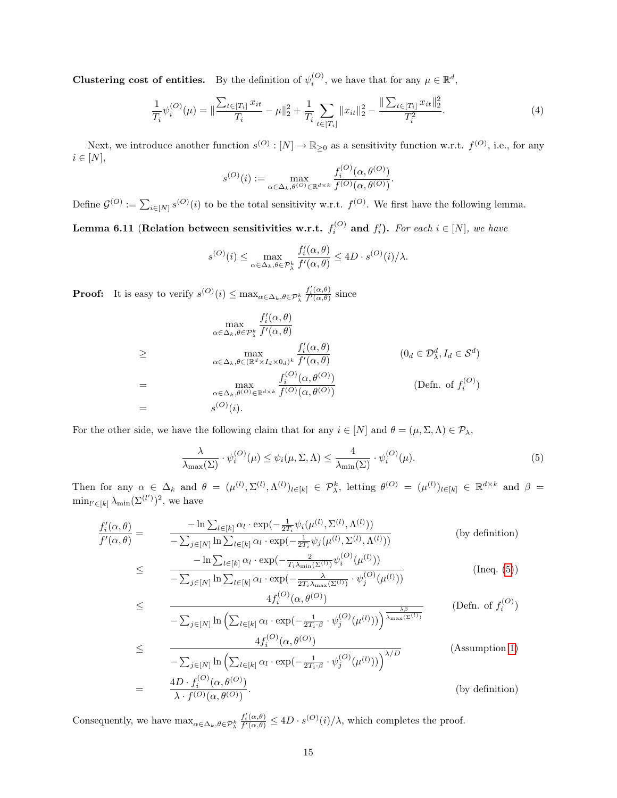**Clustering cost of entities.** By the definition of  $\psi_i^{(O)}$ , we have that for any  $\mu \in \mathbb{R}^d$ ,

$$
\frac{1}{T_i}\psi_i^{(O)}(\mu) = \|\frac{\sum_{t \in [T_i]} x_{it}}{T_i} - \mu\|_2^2 + \frac{1}{T_i} \sum_{t \in [T_i]} \|x_{it}\|_2^2 - \frac{\|\sum_{t \in [T_i]} x_{it}\|_2^2}{T_i^2}.
$$
\n(4)

Next, we introduce another function  $s^{(O)}: [N] \to \mathbb{R}_{\geq 0}$  as a sensitivity function w.r.t.  $f^{(O)}$ , i.e., for any  $i \in [N],$ 

$$
s^{(O)}(i) := \max_{\alpha \in \Delta_k, \theta^{(O)} \in \mathbb{R}^{d \times k}} \frac{f_i^{(O)}(\alpha, \theta^{(O)})}{f^{(O)}(\alpha, \theta^{(O)})}.
$$

Define  $\mathcal{G}^{(O)} := \sum_{i \in [N]} s^{(O)}(i)$  to be the total sensitivity w.r.t.  $f^{(O)}$ . We first have the following lemma.

<span id="page-14-0"></span>**Lemma 6.11** (Relation between sensitivities w.r.t.  $f_i^{(O)}$  and  $f_i'$ ). For each  $i \in [N]$ , we have

$$
s^{(O)}(i) \leq \max_{\alpha \in \Delta_k, \theta \in \mathcal{P}_\lambda^k} \frac{f_i'(\alpha, \theta)}{f'(\alpha, \theta)} \leq 4D \cdot s^{(O)}(i)/\lambda.
$$

**Proof:** It is easy to verify  $s^{(O)}(i) \leq \max_{\alpha \in \Delta_k, \theta \in \mathcal{P}_{\lambda}^k}$  $f'_i(\alpha, \theta)$  $\frac{\int_i (\alpha, \theta)}{f'(\alpha, \theta)}$  since

$$
\max_{\alpha \in \Delta_k, \theta \in \mathcal{P}_{\lambda}^k} \frac{f'_i(\alpha, \theta)}{f'(\alpha, \theta)}
$$
\n
$$
\geq \max_{\alpha \in \Delta_k, \theta \in (\mathbb{R}^d \times I_d \times 0_d)^k} \frac{f'_i(\alpha, \theta)}{f'(\alpha, \theta)}
$$
\n
$$
= \max_{\alpha \in \Delta_k, \theta^{(O)} \in \mathbb{R}^{d \times k}} \frac{f^{(O)}_i(\alpha, \theta^{(O)})}{f^{(O)}(\alpha, \theta^{(O)})}
$$
\n
$$
= s^{(O)}(i).
$$
\n(Defn. of  $f_i^{(O)}$ )

For the other side, we have the following claim that for any  $i \in [N]$  and  $\theta = (\mu, \Sigma, \Lambda) \in \mathcal{P}_{\lambda}$ ,

<span id="page-14-1"></span>
$$
\frac{\lambda}{\lambda_{\max}(\Sigma)} \cdot \psi_i^{(O)}(\mu) \le \psi_i(\mu, \Sigma, \Lambda) \le \frac{4}{\lambda_{\min}(\Sigma)} \cdot \psi_i^{(O)}(\mu). \tag{5}
$$

Then for any  $\alpha \in \Delta_k$  and  $\theta = (\mu^{(l)}, \Sigma^{(l)}, \Lambda^{(l)})_{l \in [k]} \in \mathcal{P}_{\lambda}^k$ , letting  $\theta^{(O)} = (\mu^{(l)})_{l \in [k]} \in \mathbb{R}^{d \times k}$  and  $\beta =$  $\min_{l' \in [k]} \lambda_{\min}(\Sigma^{(l')})^2$ , we have

$$
\frac{f'_i(\alpha,\theta)}{f'(\alpha,\theta)} = \frac{-\ln \sum_{l \in [k]} \alpha_l \cdot \exp(-\frac{1}{2T_i} \psi_i(\mu^{(l)}, \Sigma^{(l)}, \Lambda^{(l)}))}{-\sum_{j \in [N]} \ln \sum_{l \in [k]} \alpha_l \cdot \exp(-\frac{1}{2T_i} \psi_j(\mu^{(l)}, \Sigma^{(l)}, \Lambda^{(l)}))}
$$
(by definition)  
-
$$
\ln \sum_{l \in [k]} \alpha_l \cdot \exp(-\frac{2}{T_i \lambda_{\min}(\Sigma^{(l)})} \psi_i^{(O)}(\mu^{(l)}))
$$
(by

$$
\leq \frac{\Delta_{l\in[n]} \cdots \Delta_{l\text{-min}}(\Delta^{(l)}) \cdots \Delta^{(l)}}{-\sum_{j\in[N]} \ln \sum_{l\in[k]} \alpha_l \cdot \exp(-\frac{\lambda}{2T_i \lambda_{\max}(\Sigma^{(l)})} \cdot \psi_j^{(O)}(\mu^{(l)}))}
$$
(Ineq. (5))  

$$
\leq 4f_i^{(O)}(\alpha, \theta^{(O)})
$$
(Dofn of  $f^{(O)}$ )

$$
\leq \frac{4f_i^{\{O\}}(\alpha, \theta^{(C)})}{-\sum_{j \in [N]} \ln \left( \sum_{l \in [k]} \alpha_l \cdot \exp(-\frac{1}{2T_i \cdot \beta} \cdot \psi_j^{(O)}(\mu^{(l)})) \right)^{\frac{\lambda \beta}{\lambda_{\max}(\Sigma^{(l)})}}}
$$
 (Defn. of  $f_i^{(O)}$ )  

$$
\leq \frac{4f_i^{(O)}(\alpha, \theta^{(O)})}{\sqrt{\lambda_{\max}(\Sigma^{(l)})^2}} \qquad (Assumption 1)
$$

$$
\leq \frac{1}{\sum_{j\in[N]} \ln\left(\sum_{l\in[k]} \alpha_l \cdot \exp(-\frac{1}{2T_i \cdot \beta} \cdot \psi_j^{(O)}(\mu^{(l)}))\right)^{\lambda/D}}
$$
(Assumption 1)  

$$
= \frac{4D \cdot f_i^{(O)}(\alpha, \theta^{(O)})}{\lambda \cdot f^{(O)}(\alpha, \theta^{(O)})}.
$$
(by definition)

Consequently, we have  $\max_{\alpha \in \Delta_k, \theta \in \mathcal{P}_{\lambda}^k}$  $f'_i(\alpha, \theta)$  $\frac{f_i(\alpha,\theta)}{f'(\alpha,\theta)} \leq 4D \cdot s^{(O)}(i)/\lambda$ , which completes the proof.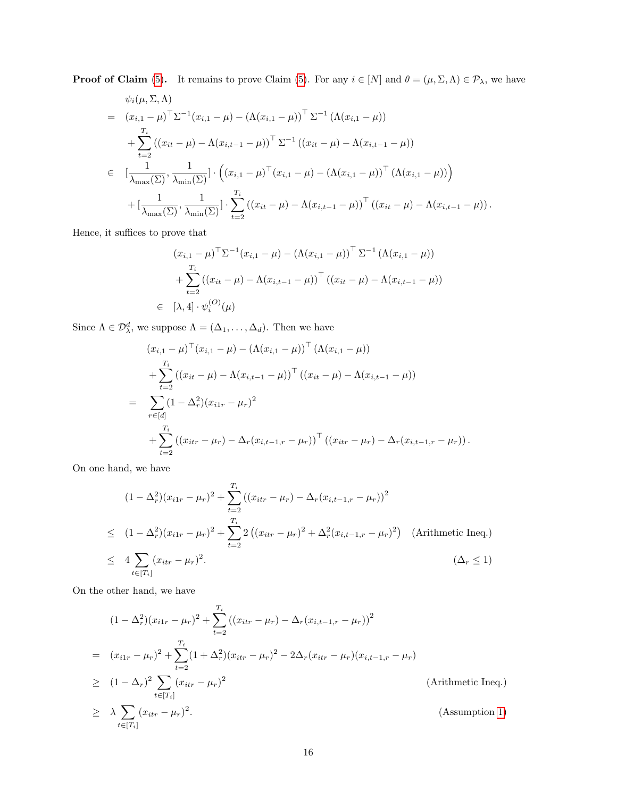**Proof of Claim** [\(5\)](#page-14-1). It remains to prove Claim (5). For any  $i \in [N]$  and  $\theta = (\mu, \Sigma, \Lambda) \in \mathcal{P}_{\lambda}$ , we have

$$
\psi_{i}(\mu, \Sigma, \Lambda)
$$
\n
$$
= (x_{i,1} - \mu)^{\top} \Sigma^{-1} (x_{i,1} - \mu) - (\Lambda (x_{i,1} - \mu))^{\top} \Sigma^{-1} (\Lambda (x_{i,1} - \mu))
$$
\n
$$
+ \sum_{t=2}^{T_i} ((x_{it} - \mu) - \Lambda (x_{i,t-1} - \mu))^{\top} \Sigma^{-1} ((x_{it} - \mu) - \Lambda (x_{i,t-1} - \mu))
$$
\n
$$
\in \left[\frac{1}{\lambda_{\max}(\Sigma)}, \frac{1}{\lambda_{\min}(\Sigma)}\right] \cdot \left((x_{i,1} - \mu)^{\top} (x_{i,1} - \mu) - (\Lambda (x_{i,1} - \mu))^{\top} (\Lambda (x_{i,1} - \mu))\right)
$$
\n
$$
+ \left[\frac{1}{\lambda_{\max}(\Sigma)}, \frac{1}{\lambda_{\min}(\Sigma)}\right] \cdot \sum_{t=2}^{T_i} ((x_{it} - \mu) - \Lambda (x_{i,t-1} - \mu))^{\top} ((x_{it} - \mu) - \Lambda (x_{i,t-1} - \mu)).
$$

Hence, it suffices to prove that

$$
(x_{i,1} - \mu)^{\top} \Sigma^{-1} (x_{i,1} - \mu) - (\Lambda (x_{i,1} - \mu))^{\top} \Sigma^{-1} (\Lambda (x_{i,1} - \mu))
$$
  
+ 
$$
\sum_{t=2}^{T_i} ((x_{it} - \mu) - \Lambda (x_{i,t-1} - \mu))^{\top} ((x_{it} - \mu) - \Lambda (x_{i,t-1} - \mu))
$$
  

$$
\in [\lambda, 4] \cdot \psi_i^{(O)}(\mu)
$$

Since  $\Lambda \in \mathcal{D}^d_{\lambda}$ , we suppose  $\Lambda = (\Delta_1, \ldots, \Delta_d)$ . Then we have

$$
(x_{i,1} - \mu)^{\top} (x_{i,1} - \mu) - (\Lambda (x_{i,1} - \mu))^{\top} (\Lambda (x_{i,1} - \mu))
$$
  
+ 
$$
\sum_{t=2}^{T_i} ((x_{it} - \mu) - \Lambda (x_{i,t-1} - \mu))^{\top} ((x_{it} - \mu) - \Lambda (x_{i,t-1} - \mu))
$$
  
= 
$$
\sum_{r \in [d]} (1 - \Delta_r^2) (x_{i1r} - \mu_r)^2
$$
  
+ 
$$
\sum_{t=2}^{T_i} ((x_{itr} - \mu_r) - \Delta_r (x_{i,t-1,r} - \mu_r))^{\top} ((x_{itr} - \mu_r) - \Delta_r (x_{i,t-1,r} - \mu_r)).
$$

On one hand, we have

$$
(1 - \Delta_r^2)(x_{i1r} - \mu_r)^2 + \sum_{t=2}^{T_i} ((x_{itr} - \mu_r) - \Delta_r(x_{i,t-1,r} - \mu_r))^2
$$
  
\n
$$
\leq (1 - \Delta_r^2)(x_{i1r} - \mu_r)^2 + \sum_{t=2}^{T_i} 2((x_{itr} - \mu_r)^2 + \Delta_r^2(x_{i,t-1,r} - \mu_r)^2) \quad \text{(Arithmetic Ineq.)}
$$
  
\n
$$
\leq 4 \sum_{t \in [T_i]} (x_{itr} - \mu_r)^2.
$$
  
\n
$$
(\Delta_r \leq 1)
$$

On the other hand, we have

$$
(1 - \Delta_r^2)(x_{i1r} - \mu_r)^2 + \sum_{t=2}^{T_i} ((x_{itr} - \mu_r) - \Delta_r(x_{i,t-1,r} - \mu_r))^2
$$
  
\n
$$
= (x_{i1r} - \mu_r)^2 + \sum_{t=2}^{T_i} (1 + \Delta_r^2)(x_{itr} - \mu_r)^2 - 2\Delta_r(x_{itr} - \mu_r)(x_{i,t-1,r} - \mu_r)
$$
  
\n
$$
\geq (1 - \Delta_r)^2 \sum_{t \in [T_i]} (x_{itr} - \mu_r)^2
$$
 (Arithmetic Ineq.)  
\n
$$
\geq \lambda \sum_{t \in [T_i]} (x_{itr} - \mu_r)^2.
$$
 (Assumption 1)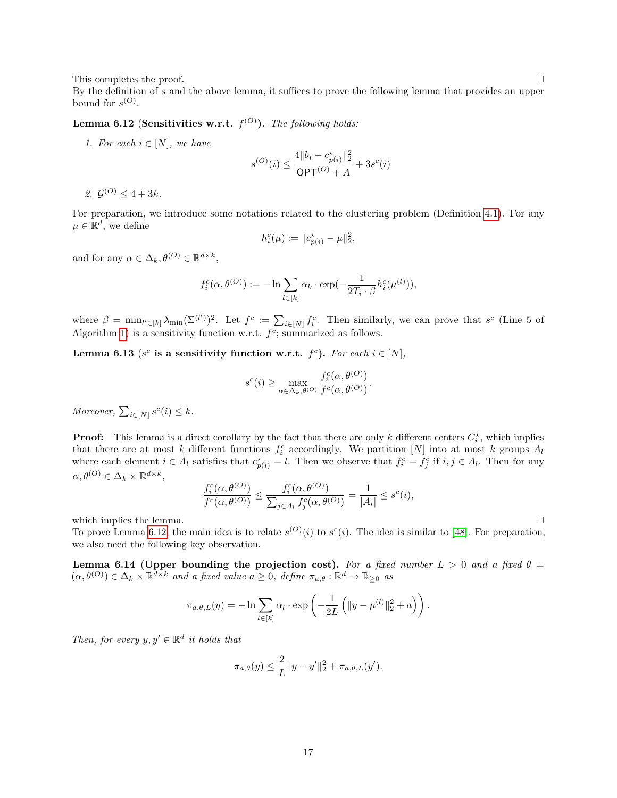This completes the proof.  $\square$ 

By the definition of s and the above lemma, it suffices to prove the following lemma that provides an upper bound for  $s^{(O)}$ .

<span id="page-16-0"></span>Lemma 6.12 (Sensitivities w.r.t.  $f^{(O)}$ ). The following holds:

1. For each  $i \in [N]$ , we have

$$
s^{(O)}(i) \le \frac{4||b_i - c_{p(i)}^{\star}||_2^2}{\mathsf{OPT}^{(O)} + A} + 3s^c(i)
$$

2.  $\mathcal{G}^{(O)} \leq 4 + 3k$ .

For preparation, we introduce some notations related to the clustering problem (Definition [4.1\)](#page-6-2). For any  $\mu \in \mathbb{R}^d$ , we define

$$
h_i^c(\mu) := \|c_{p(i)}^* - \mu\|_2^2,
$$

and for any  $\alpha \in \Delta_k, \theta^{(O)} \in \mathbb{R}^{d \times k}$ ,

$$
f_i^c(\alpha, \theta^{(O)}): = -\ln \sum_{l \in [k]} \alpha_k \cdot \exp(-\frac{1}{2T_i \cdot \beta} h_i^c(\mu^{(l)})),
$$

where  $\beta = \min_{l' \in [k]} \lambda_{\min}(\Sigma^{(l')})^2$ . Let  $f^c := \sum_{i \in [N]} f_i^c$ . Then similarly, we can prove that  $s^c$  (Line 5 of Algorithm [1\)](#page-7-0) is a sensitivity function w.r.t.  $f^c$ ; summarized as follows.

<span id="page-16-1"></span>Lemma 6.13 (s<sup>c</sup> is a sensitivity function w.r.t.  $f^c$ ). For each  $i \in [N]$ ,

$$
s^{c}(i) \ge \max_{\alpha \in \Delta_k, \theta^{(O)}} \frac{f_i^{c}(\alpha, \theta^{(O)})}{f^{c}(\alpha, \theta^{(O)})}.
$$

Moreover,  $\sum_{i \in [N]} s^c(i) \leq k$ .

**Proof:** This lemma is a direct corollary by the fact that there are only k different centers  $C_i^*$ , which implies that there are at most k different functions  $f_i^c$  accordingly. We partition [N] into at most k groups  $A_l$ where each element  $i \in A_l$  satisfies that  $c_{p(i)}^{\star} = l$ . Then we observe that  $f_i^c = f_j^c$  if  $i, j \in A_l$ . Then for any  $\alpha, \theta^{(O)} \in \Delta_k \times \mathbb{R}^{d \times k},$ 

$$
\frac{f_i^c(\alpha, \theta^{(O)})}{f^c(\alpha, \theta^{(O)})} \le \frac{f_i^c(\alpha, \theta^{(O)})}{\sum_{j \in A_l} f_j^c(\alpha, \theta^{(O)})} = \frac{1}{|A_l|} \le s^c(i),
$$

which implies the lemma.  $\Box$ 

To prove Lemma [6.12,](#page-16-0) the main idea is to relate  $s^{(O)}(i)$  to  $s^{(i)}$ . The idea is similar to [\[48\]](#page-24-7). For preparation, we also need the following key observation.

<span id="page-16-2"></span>Lemma 6.14 (Upper bounding the projection cost). For a fixed number  $L > 0$  and a fixed  $\theta =$  $(\alpha, \theta^{(O)}) \in \Delta_k \times \mathbb{R}^{\overline{d} \times k}$  and a fixed value  $a \geq 0$ , define  $\pi_{a,\theta} : \mathbb{R}^d \to \mathbb{R}_{\geq 0}$  as

$$
\pi_{a,\theta,L}(y) = -\ln \sum_{l \in [k]} \alpha_l \cdot \exp\left(-\frac{1}{2L} \left(||y - \mu^{(l)}||_2^2 + a\right)\right).
$$

Then, for every  $y, y' \in \mathbb{R}^d$  it holds that

$$
\pi_{a,\theta}(y) \le \frac{2}{L} \|y - y'\|_2^2 + \pi_{a,\theta,L}(y').
$$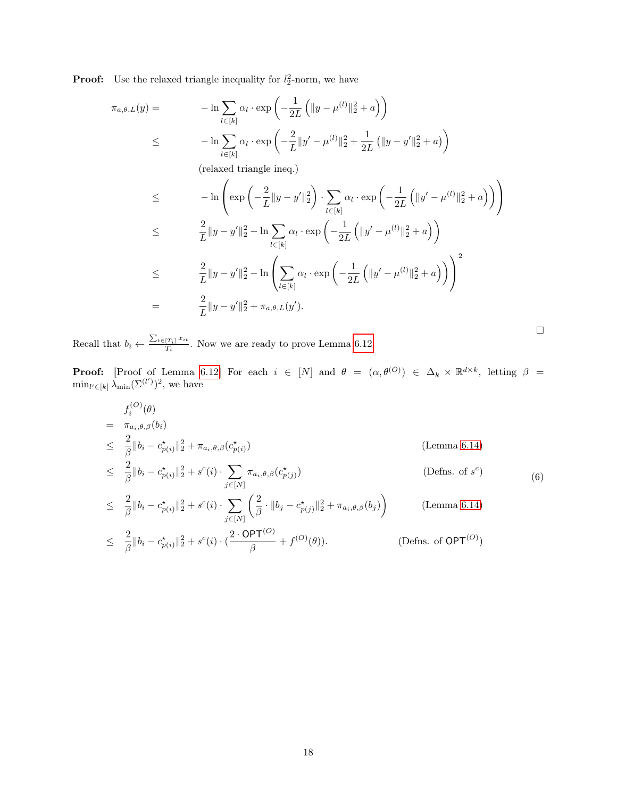**Proof:** Use the relaxed triangle inequality for  $l_2^2$ -norm, we have

$$
\pi_{a,\theta,L}(y) = -\ln \sum_{l \in [k]} \alpha_l \cdot \exp\left(-\frac{1}{2L} \left(||y - \mu^{(l)}||_2^2 + a\right)\right)
$$
  
\n
$$
\leq -\ln \sum_{l \in [k]} \alpha_l \cdot \exp\left(-\frac{2}{L}||y' - \mu^{(l)}||_2^2 + \frac{1}{2L} (||y - y'||_2^2 + a)\right)
$$
  
\n(relaxed triangle ineq.)  
\n
$$
\leq -\ln \left(\exp\left(-\frac{2}{L}||y - y'||_2^2\right) \cdot \sum_{l \in [k]} \alpha_l \cdot \exp\left(-\frac{1}{2L} \left(||y' - \mu^{(l)}||_2^2 + a\right)\right)\right)
$$
  
\n
$$
\leq \frac{2}{L}||y - y'||_2^2 - \ln \sum_{l \in [k]} \alpha_l \cdot \exp\left(-\frac{1}{2L} \left(||y' - \mu^{(l)}||_2^2 + a\right)\right)
$$
  
\n
$$
\leq \frac{2}{L}||y - y'||_2^2 - \ln \left(\sum_{l \in [k]} \alpha_l \cdot \exp\left(-\frac{1}{2L} \left(||y' - \mu^{(l)}||_2^2 + a\right)\right)\right)^2
$$
  
\n
$$
= \frac{2}{L}||y - y'||_2^2 + \pi_{a,\theta,L}(y').
$$

Recall that  $b_i \leftarrow \frac{\sum_{t \in [T_i]} x_{it}}{T_i}$  $\frac{|T_i|^{m}n}{T_i}$ . Now we are ready to prove Lemma [6.12.](#page-16-0)

**Proof:** [Proof of Lemma [6.12\]](#page-16-0) For each  $i \in [N]$  and  $\theta = (\alpha, \theta^{(O)}) \in \Delta_k \times \mathbb{R}^{d \times k}$ , letting  $\beta =$  $\min_{l' \in [k]} \lambda_{\min}(\Sigma^{(l')})^2$ , we have

 $\hfill \square$ 

<span id="page-17-0"></span>
$$
f_i^{(O)}(\theta)
$$
  
\n
$$
= \pi_{a_i, \theta, \beta}(b_i)
$$
  
\n
$$
\leq \frac{2}{\beta} ||b_i - c_{p(i)}^{\star}||_2^2 + \pi_{a_i, \theta, \beta}(c_{p(i)}^{\star})
$$
 (Lemma 6.14)  
\n
$$
\leq \frac{2}{\beta} ||b_i - c_{p(i)}^{\star}||_2^2 + s^c(i) \cdot \sum_{j \in [N]} \pi_{a_i, \theta, \beta}(c_{p(j)}^{\star})
$$
 (Defns. of  $s^c$ )  
\n
$$
\leq \frac{2}{\beta} ||b_i - c_{p(i)}^{\star}||_2^2 + s^c(i) \cdot \sum_{j \in [N]} \left(\frac{2}{\beta} \cdot ||b_j - c_{p(j)}^{\star}||_2^2 + \pi_{a_i, \theta, \beta}(b_j)\right)
$$
 (Lemma 6.14)  
\n
$$
\leq \frac{2}{\beta} ||b_i - c_{p(i)}^{\star}||_2^2 + s^c(i) \cdot \left(\frac{2 \cdot \text{OPT}^{(O)}}{\beta} + f^{(O)}(\theta)\right).
$$
 (Defns. of  $\text{OPT}^{(O)}$ )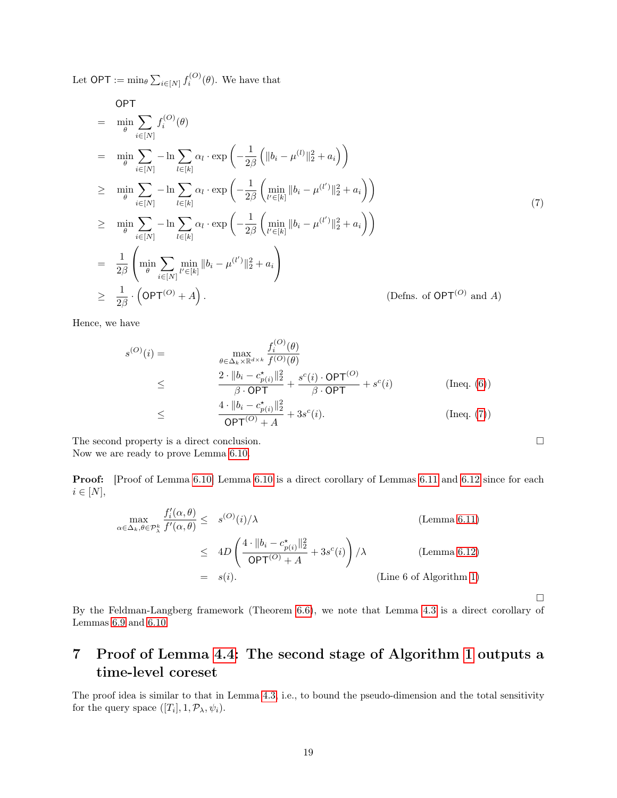Let  $\mathsf{OPT} := \min_{\theta} \sum_{i \in [N]} f_i^{(O)}(\theta)$ . We have that

<span id="page-18-1"></span>
$$
\begin{split}\n&= \min_{\theta} \sum_{i \in [N]} f_i^{(O)}(\theta) \\
&= \min_{\theta} \sum_{i \in [N]} -\ln \sum_{l \in [k]} \alpha_l \cdot \exp\left(-\frac{1}{2\beta} \left( \|b_i - \mu^{(l)}\|_2^2 + a_i \right) \right) \\
&\geq \min_{\theta} \sum_{i \in [N]} -\ln \sum_{l \in [k]} \alpha_l \cdot \exp\left(-\frac{1}{2\beta} \left( \min_{l' \in [k]} \|b_i - \mu^{(l')} \|_2^2 + a_i \right) \right) \\
&\geq \min_{\theta} \sum_{i \in [N]} -\ln \sum_{l \in [k]} \alpha_l \cdot \exp\left(-\frac{1}{2\beta} \left( \min_{l' \in [k]} \|b_i - \mu^{(l')} \|_2^2 + a_i \right) \right) \\
&= \frac{1}{2\beta} \left( \min_{\theta} \sum_{i \in [N]} \min_{l' \in [k]} \|b_i - \mu^{(l')} \|_2^2 + a_i \right) \\
&\geq \frac{1}{2\beta} \cdot \left( \mathsf{OPT}^{(O)} + A \right).\n\end{split} \tag{Defns. of \mathsf{OPT}^{(O)} and A}
$$

Hence, we have

$$
s^{(O)}(i) = \max_{\theta \in \Delta_k \times \mathbb{R}^{d \times k}} \frac{f_i^{(O)}(\theta)}{f^{(O)}(\theta)}
$$
  
\n
$$
\leq \frac{2 \cdot ||b_i - c_{p(i)}^*||_2^2}{\beta \cdot \mathsf{OPT}} + \frac{s^c(i) \cdot \mathsf{OPT}^{(O)}}{\beta \cdot \mathsf{OPT}} + s^c(i)
$$
(Ineq. (6))  
\n
$$
\leq \frac{4 \cdot ||b_i - c_{p(i)}^*||_2^2}{\mathsf{OPT}^{(O)} + A} + 3s^c(i).
$$
(Ineq. (7))

The second property is a direct conclusion. Now we are ready to prove Lemma [6.10.](#page-13-3)

Proof: [Proof of Lemma [6.10\]](#page-13-3) Lemma [6.10](#page-13-3) is a direct corollary of Lemmas [6.11](#page-14-0) and [6.12](#page-16-0) since for each  $i \in [N],$ 

$$
\max_{\alpha \in \Delta_k, \theta \in \mathcal{P}_{\lambda}^k} \frac{f_i'(\alpha, \theta)}{f'(\alpha, \theta)} \leq s^{(O)}(i)/\lambda \qquad \text{(Lemma 6.11)}
$$
\n
$$
\leq 4D \left( \frac{4 \cdot \|b_i - c_{p(i)}^{\star}\|_2^2}{\text{OPT}^{(O)} + A} + 3s^c(i) \right) / \lambda \qquad \text{(Lemma 6.12)}
$$
\n
$$
= s(i). \qquad \text{(Line 6 of Algorithm 1)}
$$

 $\Box$ 

By the Feldman-Langberg framework (Theorem [6.6\)](#page-12-1), we note that Lemma [4.3](#page-8-1) is a direct corollary of Lemmas [6.9](#page-13-1) and [6.10.](#page-13-3)

# <span id="page-18-0"></span>7 Proof of Lemma [4.4:](#page-8-2) The second stage of Algorithm [1](#page-7-0) outputs a time-level coreset

The proof idea is similar to that in Lemma [4.3,](#page-8-1) i.e., to bound the pseudo-dimension and the total sensitivity for the query space  $([T_i], 1, \mathcal{P}_\lambda, \psi_i)$ .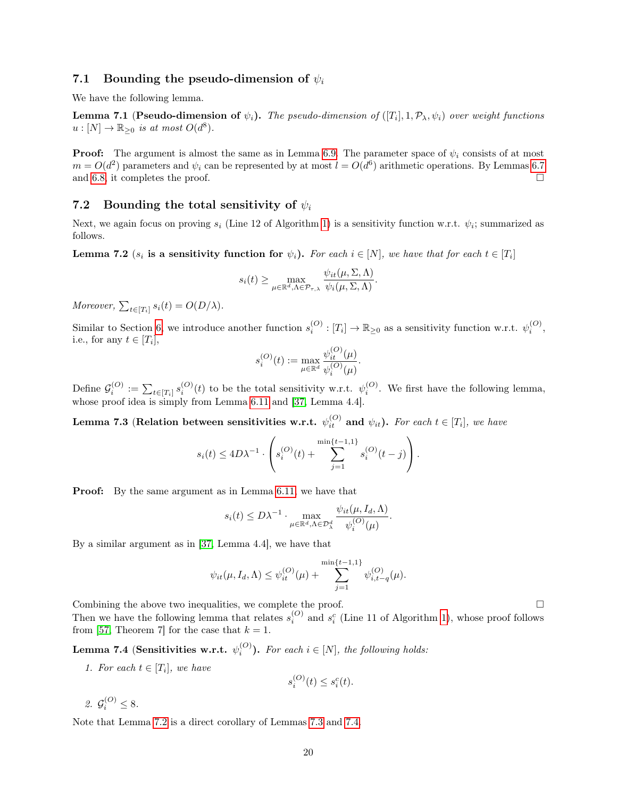### <span id="page-19-0"></span>7.1 Bounding the pseudo-dimension of  $\psi_i$

We have the following lemma.

<span id="page-19-2"></span>**Lemma 7.1 (Pseudo-dimension of**  $\psi_i$ ). The pseudo-dimension of  $([T_i], 1, \mathcal{P}_\lambda, \psi_i)$  over weight functions  $u: [N] \to \mathbb{R}_{\geq 0}$  is at most  $O(d^8)$ .

**Proof:** The argument is almost the same as in Lemma [6.9.](#page-13-1) The parameter space of  $\psi_i$  consists of at most  $m = O(d^2)$  parameters and  $\psi_i$  can be represented by at most  $l = O(d^6)$  arithmetic operations. By Lemmas [6.7](#page-12-5) and [6.8,](#page-13-2) it completes the proof.  $\square$ 

### <span id="page-19-1"></span>7.2 Bounding the total sensitivity of  $\psi_i$

Next, we again focus on proving  $s_i$  (Line 12 of Algorithm [1\)](#page-7-0) is a sensitivity function w.r.t.  $\psi_i$ ; summarized as follows.

<span id="page-19-3"></span>**Lemma 7.2** ( $s_i$  is a sensitivity function for  $\psi_i$ ). For each  $i \in [N]$ , we have that for each  $t \in [T_i]$ 

$$
s_i(t) \geq \max_{\mu \in \mathbb{R}^d, \Lambda \in \mathcal{P}_{\tau,\lambda}} \frac{\psi_{it}(\mu, \Sigma, \Lambda)}{\psi_i(\mu, \Sigma, \Lambda)}.
$$

Moreover,  $\sum_{t \in [T_i]} s_i(t) = O(D/\lambda)$ .

Similar to Section [6,](#page-11-0) we introduce another function  $s_i^{(O)} : [T_i] \to \mathbb{R}_{\geq 0}$  as a sensitivity function w.r.t.  $\psi_i^{(O)}$ , i.e., for any  $t \in [T_i]$ ,

$$
s_i^{(O)}(t) := \max_{\mu \in \mathbb{R}^d} \frac{\psi_{it}^{(O)}(\mu)}{\psi_i^{(O)}(\mu)}.
$$

Define  $\mathcal{G}_i^{(O)} := \sum_{t \in [T_i]} s_i^{(O)}(t)$  to be the total sensitivity w.r.t.  $\psi_i^{(O)}$ . We first have the following lemma, whose proof idea is simply from Lemma [6.11](#page-14-0) and [\[37,](#page-23-9) Lemma 4.4].

<span id="page-19-4"></span>Lemma 7.3 (Relation between sensitivities w.r.t.  $\psi_{it}^{(O)}$  and  $\psi_{it}$ ). For each  $t \in [T_i]$ , we have

$$
s_i(t) \le 4D\lambda^{-1} \cdot \left( s_i^{(O)}(t) + \sum_{j=1}^{\min\{t-1,1\}} s_i^{(O)}(t-j) \right).
$$

Proof: By the same argument as in Lemma [6.11,](#page-14-0) we have that

$$
s_i(t) \leq D\lambda^{-1} \cdot \max_{\mu \in \mathbb{R}^d, \Lambda \in \mathcal{D}_{\lambda}^d} \frac{\psi_{it}(\mu, I_d, \Lambda)}{\psi_i^{(O)}(\mu)}.
$$

By a similar argument as in [\[37,](#page-23-9) Lemma 4.4], we have that

$$
\psi_{it}(\mu, I_d, \Lambda) \le \psi_{it}^{(O)}(\mu) + \sum_{j=1}^{\min\{t-1, 1\}} \psi_{i, t-q}^{(O)}(\mu).
$$

Combining the above two inequalities, we complete the proof.  $\square$ 

Then we have the following lemma that relates  $s_i^{(O)}$  and  $s_i^c$  (Line 11 of Algorithm [1\)](#page-7-0), whose proof follows from [\[57,](#page-24-17) Theorem 7] for the case that  $k = 1$ .

<span id="page-19-5"></span>**Lemma 7.4 (Sensitivities w.r.t.**  $\psi_i^{(O)}$ ). For each  $i \in [N]$ , the following holds:

1. For each  $t \in [T_i]$ , we have

$$
s_i^{(O)}(t) \le s_i^c(t).
$$

2.  $\mathcal{G}_i^{(O)} \leq 8$ .

Note that Lemma [7.2](#page-19-3) is a direct corollary of Lemmas [7.3](#page-19-4) and [7.4.](#page-19-5)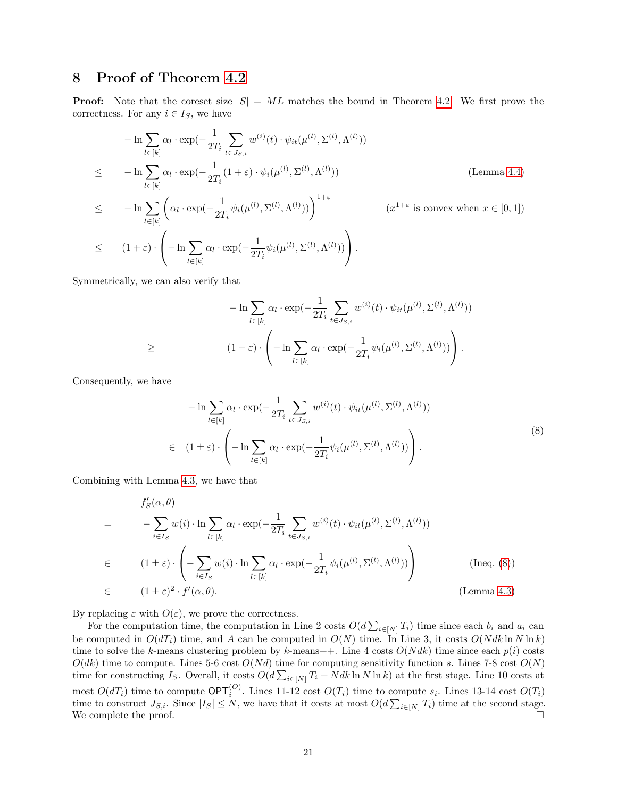## <span id="page-20-0"></span>8 Proof of Theorem [4.2](#page-8-3)

**Proof:** Note that the coreset size  $|S| = ML$  matches the bound in Theorem [4.2.](#page-8-3) We first prove the correctness. For any  $i \in I_S$ , we have

$$
-\ln \sum_{l \in [k]} \alpha_l \cdot \exp\left(-\frac{1}{2T_i} \sum_{t \in J_{S,i}} w^{(i)}(t) \cdot \psi_{it}(\mu^{(l)}, \Sigma^{(l)}, \Lambda^{(l)})\right)
$$
  
\n
$$
\leq -\ln \sum_{l \in [k]} \alpha_l \cdot \exp\left(-\frac{1}{2T_i} (1+\varepsilon) \cdot \psi_i(\mu^{(l)}, \Sigma^{(l)}, \Lambda^{(l)})\right)
$$
(Lemma 4.4)  
\n
$$
\leq -\ln \sum_{l \in [k]} \left(\alpha_l \cdot \exp\left(-\frac{1}{2T_i} \psi_i(\mu^{(l)}, \Sigma^{(l)}, \Lambda^{(l)})\right)\right)^{1+\varepsilon}
$$
  
\n
$$
(x^{1+\varepsilon} \text{ is convex when } x \in [0, 1])
$$
  
\n
$$
\leq (1+\varepsilon) \cdot \left(-\ln \sum_{l \in [k]} \alpha_l \cdot \exp\left(-\frac{1}{2T_i} \psi_i(\mu^{(l)}, \Sigma^{(l)}, \Lambda^{(l)})\right)\right).
$$

Symmetrically, we can also verify that

$$
-\ln \sum_{l\in[k]} \alpha_l \cdot \exp(-\frac{1}{2T_i} \sum_{t\in J_{S,i}} w^{(i)}(t) \cdot \psi_{it}(\mu^{(l)}, \Sigma^{(l)}, \Lambda^{(l)}))
$$
  

$$
\geq (1-\varepsilon) \cdot \left(-\ln \sum_{l\in[k]} \alpha_l \cdot \exp(-\frac{1}{2T_i} \psi_i(\mu^{(l)}, \Sigma^{(l)}, \Lambda^{(l)}))\right).
$$

Consequently, we have

<span id="page-20-1"></span>
$$
-\ln \sum_{l \in [k]} \alpha_l \cdot \exp\left(-\frac{1}{2T_i} \sum_{t \in J_{S,i}} w^{(i)}(t) \cdot \psi_{it}(\mu^{(l)}, \Sigma^{(l)}, \Lambda^{(l)})\right)
$$
  

$$
\in (1 \pm \varepsilon) \cdot \left(-\ln \sum_{l \in [k]} \alpha_l \cdot \exp\left(-\frac{1}{2T_i} \psi_i(\mu^{(l)}, \Sigma^{(l)}, \Lambda^{(l)})\right)\right).
$$
 (8)

Combining with Lemma [4.3,](#page-8-1) we have that

$$
f'_{S}(\alpha, \theta)
$$
\n
$$
= -\sum_{i \in I_{S}} w(i) \cdot \ln \sum_{l \in [k]} \alpha_{l} \cdot \exp(-\frac{1}{2T_{i}} \sum_{t \in J_{S,i}} w^{(i)}(t) \cdot \psi_{it}(\mu^{(l)}, \Sigma^{(l)}, \Lambda^{(l)}))
$$
\n
$$
\in (1 \pm \varepsilon) \cdot \left(-\sum_{i \in I_{S}} w(i) \cdot \ln \sum_{l \in [k]} \alpha_{l} \cdot \exp(-\frac{1}{2T_{i}} \psi_{i}(\mu^{(l)}, \Sigma^{(l)}, \Lambda^{(l)}))\right)
$$
\n
$$
\in (1 \pm \varepsilon)^{2} \cdot f'(\alpha, \theta).
$$
\n(Lemma 4.3)

By replacing  $\varepsilon$  with  $O(\varepsilon)$ , we prove the correctness.

For the computation time, the computation in Line 2 costs  $O(d\sum_{i\in[N]}T_i)$  time since each  $b_i$  and  $a_i$  can be computed in  $O(d_i)$  time, and A can be computed in  $O(N)$  time. In Line 3, it costs  $O(N d k \ln N \ln k)$ time to solve the k-means clustering problem by k-means++. Line 4 costs  $O(Ndk)$  time since each  $p(i)$  costs  $O(dk)$  time to compute. Lines 5-6 cost  $O(Nd)$  time for computing sensitivity function s. Lines 7-8 cost  $O(N)$ time for constructing  $I_S$ . Overall, it costs  $O(d\sum_{i\in[N]}T_i + Ndk\ln N\ln k)$  at the first stage. Line 10 costs at most  $O(d_i)$  time to compute  $\mathsf{OPT}_i^{(O)}$ . Lines 11-12 cost  $O(T_i)$  time to compute  $s_i$ . Lines 13-14 cost  $O(T_i)$ time to construct  $J_{S,i}$ . Since  $|I_S| \leq N$ , we have that it costs at most  $O(d \sum_{i \in [N]} T_i)$  time at the second stage. We complete the proof.  $\Box$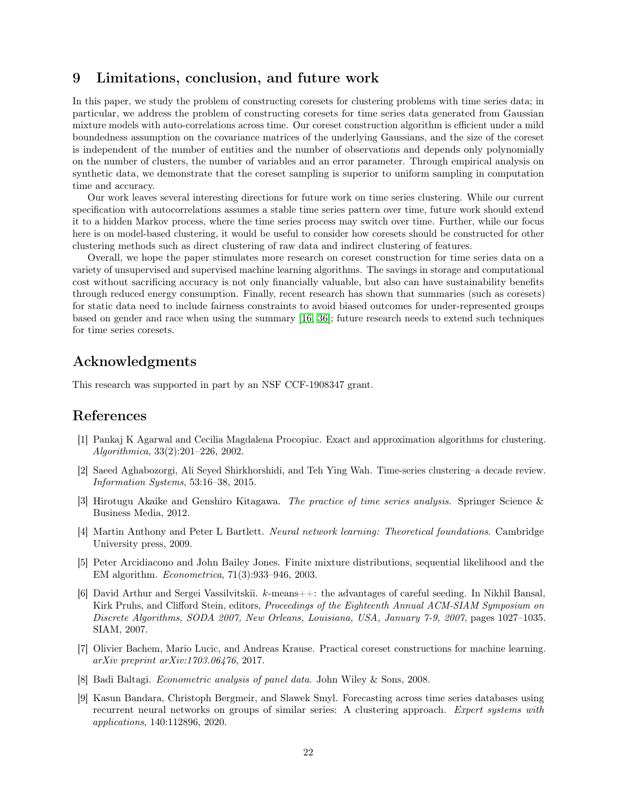## <span id="page-21-0"></span>9 Limitations, conclusion, and future work

In this paper, we study the problem of constructing coresets for clustering problems with time series data; in particular, we address the problem of constructing coresets for time series data generated from Gaussian mixture models with auto-correlations across time. Our coreset construction algorithm is efficient under a mild boundedness assumption on the covariance matrices of the underlying Gaussians, and the size of the coreset is independent of the number of entities and the number of observations and depends only polynomially on the number of clusters, the number of variables and an error parameter. Through empirical analysis on synthetic data, we demonstrate that the coreset sampling is superior to uniform sampling in computation time and accuracy.

Our work leaves several interesting directions for future work on time series clustering. While our current specification with autocorrelations assumes a stable time series pattern over time, future work should extend it to a hidden Markov process, where the time series process may switch over time. Further, while our focus here is on model-based clustering, it would be useful to consider how coresets should be constructed for other clustering methods such as direct clustering of raw data and indirect clustering of features.

Overall, we hope the paper stimulates more research on coreset construction for time series data on a variety of unsupervised and supervised machine learning algorithms. The savings in storage and computational cost without sacrificing accuracy is not only financially valuable, but also can have sustainability benefits through reduced energy consumption. Finally, recent research has shown that summaries (such as coresets) for static data need to include fairness constraints to avoid biased outcomes for under-represented groups based on gender and race when using the summary [\[16,](#page-22-17) [36\]](#page-23-16); future research needs to extend such techniques for time series coresets.

## Acknowledgments

This research was supported in part by an NSF CCF-1908347 grant.

## References

- <span id="page-21-6"></span>[1] Pankaj K Agarwal and Cecilia Magdalena Procopiuc. Exact and approximation algorithms for clustering. Algorithmica, 33(2):201–226, 2002.
- <span id="page-21-2"></span>[2] Saeed Aghabozorgi, Ali Seyed Shirkhorshidi, and Teh Ying Wah. Time-series clustering–a decade review. Information Systems, 53:16–38, 2015.
- <span id="page-21-5"></span>[3] Hirotugu Akaike and Genshiro Kitagawa. The practice of time series analysis. Springer Science & Business Media, 2012.
- <span id="page-21-8"></span>[4] Martin Anthony and Peter L Bartlett. Neural network learning: Theoretical foundations. Cambridge University press, 2009.
- <span id="page-21-9"></span>[5] Peter Arcidiacono and John Bailey Jones. Finite mixture distributions, sequential likelihood and the EM algorithm. Econometrica, 71(3):933–946, 2003.
- <span id="page-21-7"></span>[6] David Arthur and Sergei Vassilvitskii. k-means++: the advantages of careful seeding. In Nikhil Bansal, Kirk Pruhs, and Clifford Stein, editors, *Proceedings of the Eighteenth Annual ACM-SIAM Symposium on* Discrete Algorithms, SODA 2007, New Orleans, Louisiana, USA, January 7-9, 2007, pages 1027–1035. SIAM, 2007.
- <span id="page-21-4"></span>[7] Olivier Bachem, Mario Lucic, and Andreas Krause. Practical coreset constructions for machine learning. arXiv preprint arXiv:1703.06476, 2017.
- <span id="page-21-1"></span>[8] Badi Baltagi. Econometric analysis of panel data. John Wiley & Sons, 2008.
- <span id="page-21-3"></span>[9] Kasun Bandara, Christoph Bergmeir, and Slawek Smyl. Forecasting across time series databases using recurrent neural networks on groups of similar series: A clustering approach. Expert systems with applications, 140:112896, 2020.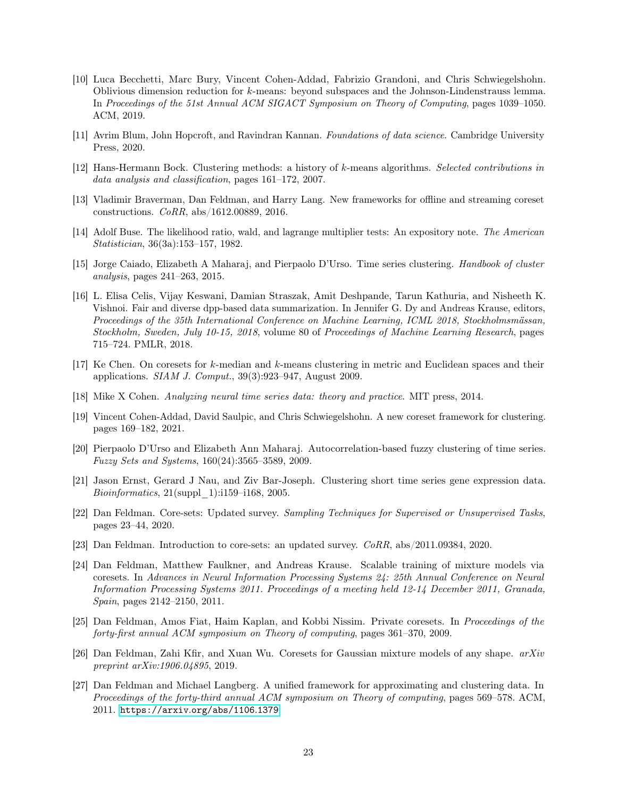- <span id="page-22-12"></span>[10] Luca Becchetti, Marc Bury, Vincent Cohen-Addad, Fabrizio Grandoni, and Chris Schwiegelshohn. Oblivious dimension reduction for k-means: beyond subspaces and the Johnson-Lindenstrauss lemma. In Proceedings of the 51st Annual ACM SIGACT Symposium on Theory of Computing, pages 1039–1050. ACM, 2019.
- <span id="page-22-0"></span>[11] Avrim Blum, John Hopcroft, and Ravindran Kannan. Foundations of data science. Cambridge University Press, 2020.
- <span id="page-22-8"></span>[12] Hans-Hermann Bock. Clustering methods: a history of k-means algorithms. Selected contributions in data analysis and classification, pages 161–172, 2007.
- <span id="page-22-11"></span>[13] Vladimir Braverman, Dan Feldman, and Harry Lang. New frameworks for offline and streaming coreset constructions. CoRR, abs/1612.00889, 2016.
- <span id="page-22-16"></span>[14] Adolf Buse. The likelihood ratio, wald, and lagrange multiplier tests: An expository note. The American Statistician, 36(3a):153–157, 1982.
- <span id="page-22-1"></span>[15] Jorge Caiado, Elizabeth A Maharaj, and Pierpaolo D'Urso. Time series clustering. Handbook of cluster analysis, pages 241–263, 2015.
- <span id="page-22-17"></span>[16] L. Elisa Celis, Vijay Keswani, Damian Straszak, Amit Deshpande, Tarun Kathuria, and Nisheeth K. Vishnoi. Fair and diverse dpp-based data summarization. In Jennifer G. Dy and Andreas Krause, editors, Proceedings of the 35th International Conference on Machine Learning, ICML 2018, Stockholmsmässan, Stockholm, Sweden, July 10-15, 2018, volume 80 of Proceedings of Machine Learning Research, pages 715–724. PMLR, 2018.
- <span id="page-22-9"></span>[17] Ke Chen. On coresets for k-median and k-means clustering in metric and Euclidean spaces and their applications. SIAM J. Comput., 39(3):923–947, August 2009.
- <span id="page-22-7"></span>[18] Mike X Cohen. Analyzing neural time series data: theory and practice. MIT press, 2014.
- <span id="page-22-10"></span>[19] Vincent Cohen-Addad, David Saulpic, and Chris Schwiegelshohn. A new coreset framework for clustering. pages 169–182, 2021.
- <span id="page-22-2"></span>[20] Pierpaolo D'Urso and Elizabeth Ann Maharaj. Autocorrelation-based fuzzy clustering of time series. Fuzzy Sets and Systems, 160(24):3565–3589, 2009.
- <span id="page-22-3"></span>[21] Jason Ernst, Gerard J Nau, and Ziv Bar-Joseph. Clustering short time series gene expression data. Bioinformatics, 21(suppl\_1):i159–i168, 2005.
- <span id="page-22-5"></span>[22] Dan Feldman. Core-sets: Updated survey. Sampling Techniques for Supervised or Unsupervised Tasks, pages 23–44, 2020.
- <span id="page-22-13"></span>[23] Dan Feldman. Introduction to core-sets: an updated survey. CoRR, abs/2011.09384, 2020.
- <span id="page-22-15"></span>[24] Dan Feldman, Matthew Faulkner, and Andreas Krause. Scalable training of mixture models via coresets. In Advances in Neural Information Processing Systems 24: 25th Annual Conference on Neural Information Processing Systems 2011. Proceedings of a meeting held 12-14 December 2011, Granada, Spain, pages 2142–2150, 2011.
- <span id="page-22-4"></span>[25] Dan Feldman, Amos Fiat, Haim Kaplan, and Kobbi Nissim. Private coresets. In Proceedings of the forty-first annual ACM symposium on Theory of computing, pages 361–370, 2009.
- <span id="page-22-14"></span>[26] Dan Feldman, Zahi Kfir, and Xuan Wu. Coresets for Gaussian mixture models of any shape. arXiv preprint arXiv:1906.04895, 2019.
- <span id="page-22-6"></span>[27] Dan Feldman and Michael Langberg. A unified framework for approximating and clustering data. In Proceedings of the forty-third annual ACM symposium on Theory of computing, pages 569–578. ACM, 2011. [https://arxiv](https://arxiv.org/abs/1106.1379).org/abs/1106.1379.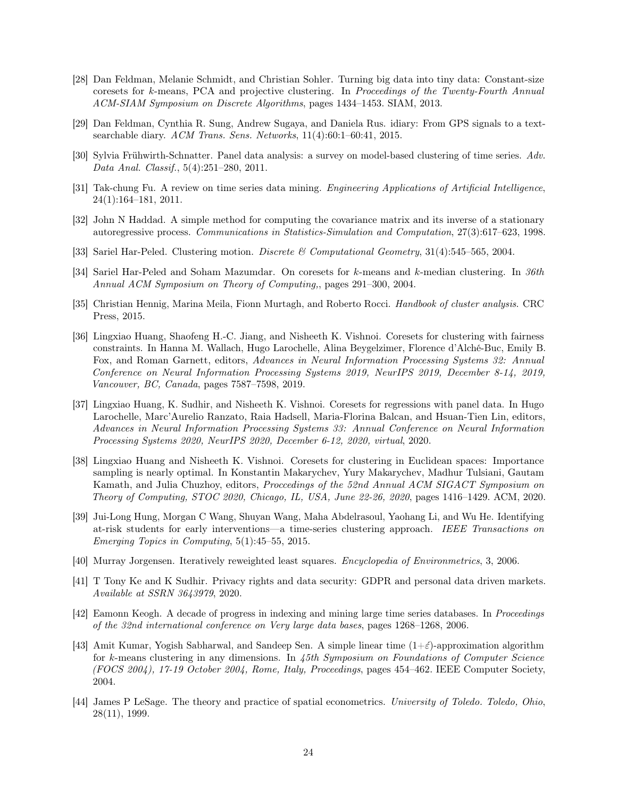- <span id="page-23-11"></span>[28] Dan Feldman, Melanie Schmidt, and Christian Sohler. Turning big data into tiny data: Constant-size coresets for k-means, PCA and projective clustering. In Proceedings of the Twenty-Fourth Annual ACM-SIAM Symposium on Discrete Algorithms, pages 1434–1453. SIAM, 2013.
- <span id="page-23-13"></span>[29] Dan Feldman, Cynthia R. Sung, Andrew Sugaya, and Daniela Rus. idiary: From GPS signals to a textsearchable diary. ACM Trans. Sens. Networks, 11(4):60:1–60:41, 2015.
- <span id="page-23-3"></span>[30] Sylvia Frühwirth-Schnatter. Panel data analysis: a survey on model-based clustering of time series. Adv. Data Anal. Classif., 5(4):251–280, 2011.
- <span id="page-23-1"></span>[31] Tak-chung Fu. A review on time series data mining. Engineering Applications of Artificial Intelligence, 24(1):164–181, 2011.
- <span id="page-23-4"></span>[32] John N Haddad. A simple method for computing the covariance matrix and its inverse of a stationary autoregressive process. Communications in Statistics-Simulation and Computation, 27(3):617–623, 1998.
- <span id="page-23-12"></span>[33] Sariel Har-Peled. Clustering motion. Discrete & Computational Geometry, 31(4):545–565, 2004.
- <span id="page-23-8"></span>[34] Sariel Har-Peled and Soham Mazumdar. On coresets for k-means and k-median clustering. In 36th Annual ACM Symposium on Theory of Computing,, pages 291–300, 2004.
- <span id="page-23-2"></span>[35] Christian Hennig, Marina Meila, Fionn Murtagh, and Roberto Rocci. Handbook of cluster analysis. CRC Press, 2015.
- <span id="page-23-16"></span>[36] Lingxiao Huang, Shaofeng H.-C. Jiang, and Nisheeth K. Vishnoi. Coresets for clustering with fairness constraints. In Hanna M. Wallach, Hugo Larochelle, Alina Beygelzimer, Florence d'Alché-Buc, Emily B. Fox, and Roman Garnett, editors, Advances in Neural Information Processing Systems 32: Annual Conference on Neural Information Processing Systems 2019, NeurIPS 2019, December 8-14, 2019, Vancouver, BC, Canada, pages 7587–7598, 2019.
- <span id="page-23-9"></span>[37] Lingxiao Huang, K. Sudhir, and Nisheeth K. Vishnoi. Coresets for regressions with panel data. In Hugo Larochelle, Marc'Aurelio Ranzato, Raia Hadsell, Maria-Florina Balcan, and Hsuan-Tien Lin, editors, Advances in Neural Information Processing Systems 33: Annual Conference on Neural Information Processing Systems 2020, NeurIPS 2020, December 6-12, 2020, virtual, 2020.
- <span id="page-23-10"></span>[38] Lingxiao Huang and Nisheeth K. Vishnoi. Coresets for clustering in Euclidean spaces: Importance sampling is nearly optimal. In Konstantin Makarychev, Yury Makarychev, Madhur Tulsiani, Gautam Kamath, and Julia Chuzhoy, editors, Proccedings of the 52nd Annual ACM SIGACT Symposium on Theory of Computing, STOC 2020, Chicago, IL, USA, June 22-26, 2020, pages 1416–1429. ACM, 2020.
- <span id="page-23-0"></span>[39] Jui-Long Hung, Morgan C Wang, Shuyan Wang, Maha Abdelrasoul, Yaohang Li, and Wu He. Identifying at-risk students for early interventions—a time-series clustering approach. IEEE Transactions on Emerging Topics in Computing, 5(1):45–55, 2015.
- <span id="page-23-15"></span>[40] Murray Jorgensen. Iteratively reweighted least squares. Encyclopedia of Environmetrics, 3, 2006.
- <span id="page-23-7"></span>[41] T Tony Ke and K Sudhir. Privacy rights and data security: GDPR and personal data driven markets. Available at SSRN 3643979, 2020.
- <span id="page-23-6"></span>[42] Eamonn Keogh. A decade of progress in indexing and mining large time series databases. In Proceedings of the 32nd international conference on Very large data bases, pages 1268–1268, 2006.
- <span id="page-23-14"></span>[43] Amit Kumar, Yogish Sabharwal, and Sandeep Sen. A simple linear time  $(1+\epsilon)$ -approximation algorithm for k-means clustering in any dimensions. In 45th Symposium on Foundations of Computer Science (FOCS 2004), 17-19 October 2004, Rome, Italy, Proceedings, pages 454–462. IEEE Computer Society, 2004.
- <span id="page-23-5"></span>[44] James P LeSage. The theory and practice of spatial econometrics. University of Toledo. Toledo, Ohio, 28(11), 1999.